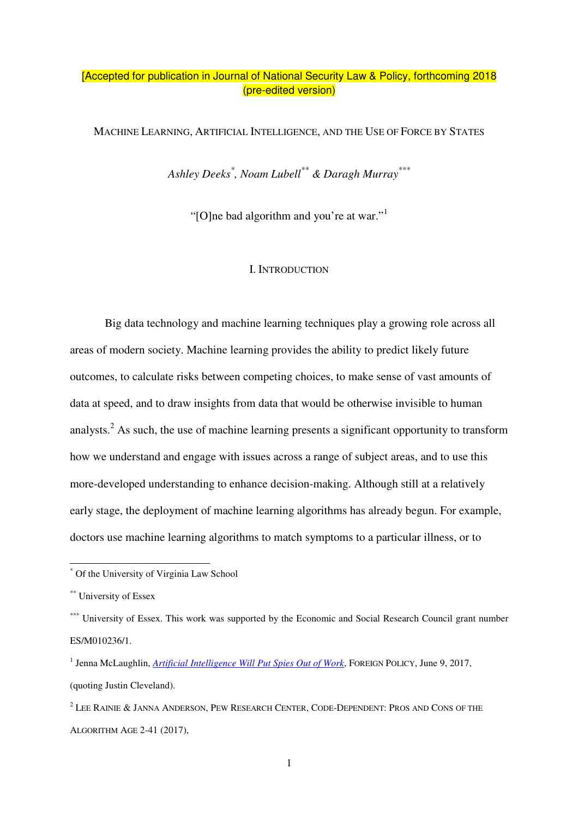# [Accepted for publication in Journal of National Security Law & Policy, forthcoming 2018 (pre-edited version)

MACHINE LEARNING, ARTIFICIAL INTELLIGENCE, AND THE USE OF FORCE BY STATES

*Ashley Deeks\* , Noam Lubell\*\* & Daragh Murray\*\*\**

"[O]ne bad algorithm and you're at war."<sup>1</sup>

#### I. INTRODUCTION

Big data technology and machine learning techniques play a growing role across all areas of modern society. Machine learning provides the ability to predict likely future outcomes, to calculate risks between competing choices, to make sense of vast amounts of data at speed, and to draw insights from data that would be otherwise invisible to human analysts.<sup>2</sup> As such, the use of machine learning presents a significant opportunity to transform how we understand and engage with issues across a range of subject areas, and to use this more-developed understanding to enhance decision-making. Although still at a relatively early stage, the deployment of machine learning algorithms has already begun. For example, doctors use machine learning algorithms to match symptoms to a particular illness, or to

 \* Of the University of Virginia Law School

<sup>\*\*</sup> University of Essex

<sup>\*\*\*</sup> University of Essex. This work was supported by the Economic and Social Research Council grant number ES/M010236/1.

<sup>&</sup>lt;sup>1</sup> Jenna McLaughlin, *Artificial Intelligence Will Put Spies Out of Work*, FOREIGN POLICY, June 9, 2017, (quoting Justin Cleveland).

 $^2$  Lee Rainie & Janna Anderson, Pew Research Center, Code-Dependent: Pros and Cons of the ALGORITHM AGE 2-41 (2017),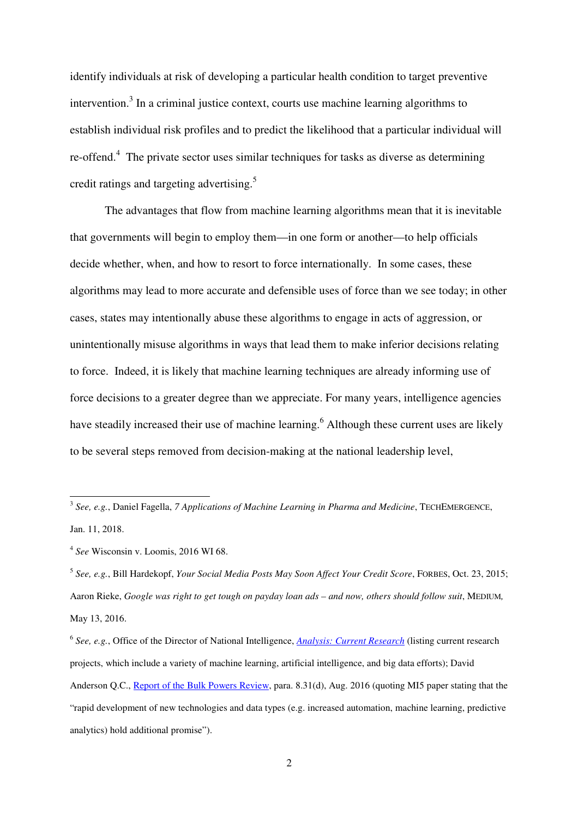identify individuals at risk of developing a particular health condition to target preventive intervention.<sup>3</sup> In a criminal justice context, courts use machine learning algorithms to establish individual risk profiles and to predict the likelihood that a particular individual will re-offend.<sup>4</sup> The private sector uses similar techniques for tasks as diverse as determining credit ratings and targeting advertising.<sup>5</sup>

The advantages that flow from machine learning algorithms mean that it is inevitable that governments will begin to employ them—in one form or another—to help officials decide whether, when, and how to resort to force internationally. In some cases, these algorithms may lead to more accurate and defensible uses of force than we see today; in other cases, states may intentionally abuse these algorithms to engage in acts of aggression, or unintentionally misuse algorithms in ways that lead them to make inferior decisions relating to force. Indeed, it is likely that machine learning techniques are already informing use of force decisions to a greater degree than we appreciate. For many years, intelligence agencies have steadily increased their use of machine learning.<sup>6</sup> Although these current uses are likely to be several steps removed from decision-making at the national leadership level,

5 *See, e.g.*, Bill Hardekopf, *Your Social Media Posts May Soon Affect Your Credit Score*, FORBES, Oct. 23, 2015; Aaron Rieke, *Google was right to get tough on payday loan ads – and now, others should follow suit*, MEDIUM*,*  May 13, 2016.

 3 *See, e.g.*, Daniel Fagella, *7 Applications of Machine Learning in Pharma and Medicine*, TECHEMERGENCE, Jan. 11, 2018.

<sup>4</sup> *See* Wisconsin v. Loomis, 2016 WI 68.

<sup>6</sup> *See, e.g.*, Office of the Director of National Intelligence, *Analysis: Current Research* (listing current research projects, which include a variety of machine learning, artificial intelligence, and big data efforts); David Anderson Q.C., Report of the Bulk Powers Review, para. 8.31(d), Aug. 2016 (quoting MI5 paper stating that the "rapid development of new technologies and data types (e.g. increased automation, machine learning, predictive analytics) hold additional promise").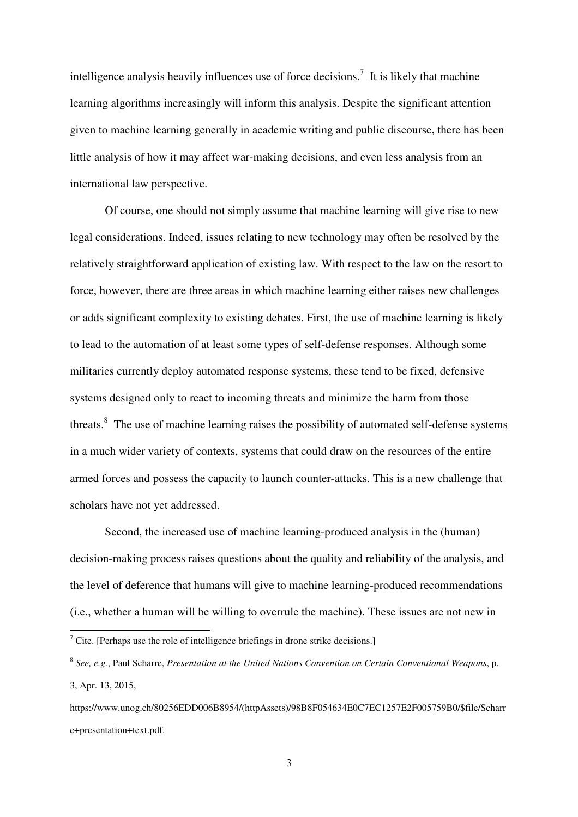intelligence analysis heavily influences use of force decisions.<sup>7</sup> It is likely that machine learning algorithms increasingly will inform this analysis. Despite the significant attention given to machine learning generally in academic writing and public discourse, there has been little analysis of how it may affect war-making decisions, and even less analysis from an international law perspective.

Of course, one should not simply assume that machine learning will give rise to new legal considerations. Indeed, issues relating to new technology may often be resolved by the relatively straightforward application of existing law. With respect to the law on the resort to force, however, there are three areas in which machine learning either raises new challenges or adds significant complexity to existing debates. First, the use of machine learning is likely to lead to the automation of at least some types of self-defense responses. Although some militaries currently deploy automated response systems, these tend to be fixed, defensive systems designed only to react to incoming threats and minimize the harm from those threats.<sup>8</sup> The use of machine learning raises the possibility of automated self-defense systems in a much wider variety of contexts, systems that could draw on the resources of the entire armed forces and possess the capacity to launch counter-attacks. This is a new challenge that scholars have not yet addressed.

Second, the increased use of machine learning-produced analysis in the (human) decision-making process raises questions about the quality and reliability of the analysis, and the level of deference that humans will give to machine learning-produced recommendations (i.e., whether a human will be willing to overrule the machine). These issues are not new in

<sup>&</sup>lt;sup>7</sup> Cite. [Perhaps use the role of intelligence briefings in drone strike decisions.]

<sup>8</sup> *See, e.g.*, Paul Scharre, *Presentation at the United Nations Convention on Certain Conventional Weapons*, p. 3, Apr. 13, 2015,

https://www.unog.ch/80256EDD006B8954/(httpAssets)/98B8F054634E0C7EC1257E2F005759B0/\$file/Scharr e+presentation+text.pdf.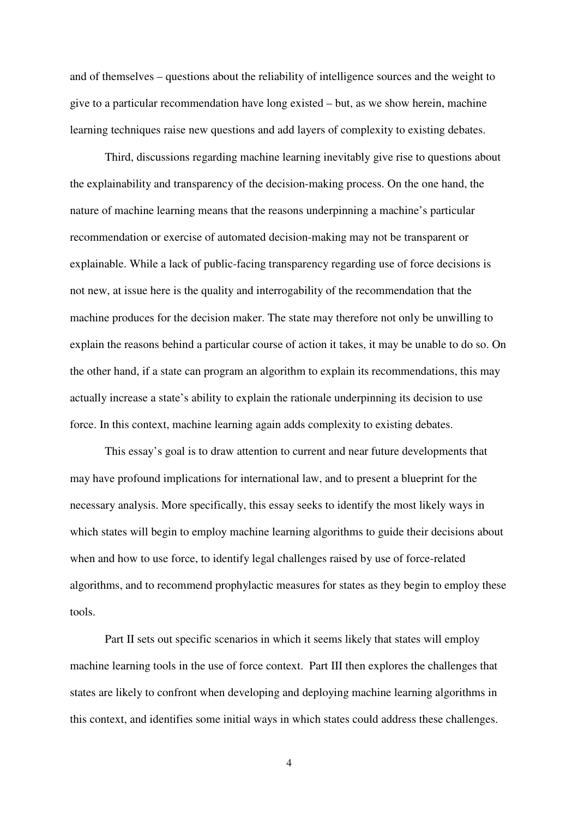and of themselves – questions about the reliability of intelligence sources and the weight to give to a particular recommendation have long existed – but, as we show herein, machine learning techniques raise new questions and add layers of complexity to existing debates.

Third, discussions regarding machine learning inevitably give rise to questions about the explainability and transparency of the decision-making process. On the one hand, the nature of machine learning means that the reasons underpinning a machine's particular recommendation or exercise of automated decision-making may not be transparent or explainable. While a lack of public-facing transparency regarding use of force decisions is not new, at issue here is the quality and interrogability of the recommendation that the machine produces for the decision maker. The state may therefore not only be unwilling to explain the reasons behind a particular course of action it takes, it may be unable to do so. On the other hand, if a state can program an algorithm to explain its recommendations, this may actually increase a state's ability to explain the rationale underpinning its decision to use force. In this context, machine learning again adds complexity to existing debates.

This essay's goal is to draw attention to current and near future developments that may have profound implications for international law, and to present a blueprint for the necessary analysis. More specifically, this essay seeks to identify the most likely ways in which states will begin to employ machine learning algorithms to guide their decisions about when and how to use force, to identify legal challenges raised by use of force-related algorithms, and to recommend prophylactic measures for states as they begin to employ these tools.

Part II sets out specific scenarios in which it seems likely that states will employ machine learning tools in the use of force context. Part III then explores the challenges that states are likely to confront when developing and deploying machine learning algorithms in this context, and identifies some initial ways in which states could address these challenges.

4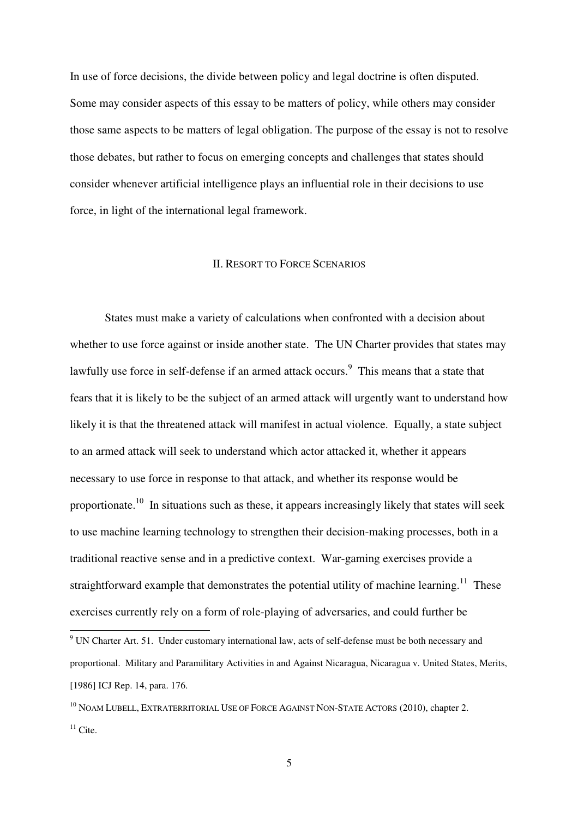In use of force decisions, the divide between policy and legal doctrine is often disputed. Some may consider aspects of this essay to be matters of policy, while others may consider those same aspects to be matters of legal obligation. The purpose of the essay is not to resolve those debates, but rather to focus on emerging concepts and challenges that states should consider whenever artificial intelligence plays an influential role in their decisions to use force, in light of the international legal framework.

#### II. RESORT TO FORCE SCENARIOS

States must make a variety of calculations when confronted with a decision about whether to use force against or inside another state. The UN Charter provides that states may lawfully use force in self-defense if an armed attack occurs.<sup>9</sup> This means that a state that fears that it is likely to be the subject of an armed attack will urgently want to understand how likely it is that the threatened attack will manifest in actual violence. Equally, a state subject to an armed attack will seek to understand which actor attacked it, whether it appears necessary to use force in response to that attack, and whether its response would be proportionate.<sup>10</sup> In situations such as these, it appears increasingly likely that states will seek to use machine learning technology to strengthen their decision-making processes, both in a traditional reactive sense and in a predictive context. War-gaming exercises provide a straightforward example that demonstrates the potential utility of machine learning.<sup>11</sup> These exercises currently rely on a form of role-playing of adversaries, and could further be

 $9$  UN Charter Art. 51. Under customary international law, acts of self-defense must be both necessary and proportional. Military and Paramilitary Activities in and Against Nicaragua, Nicaragua v. United States, Merits, [1986] ICJ Rep. 14, para. 176.

<sup>&</sup>lt;sup>10</sup> NOAM LUBELL, EXTRATERRITORIAL USE OF FORCE AGAINST NON-STATE ACTORS (2010), chapter 2.  $11$  Cite.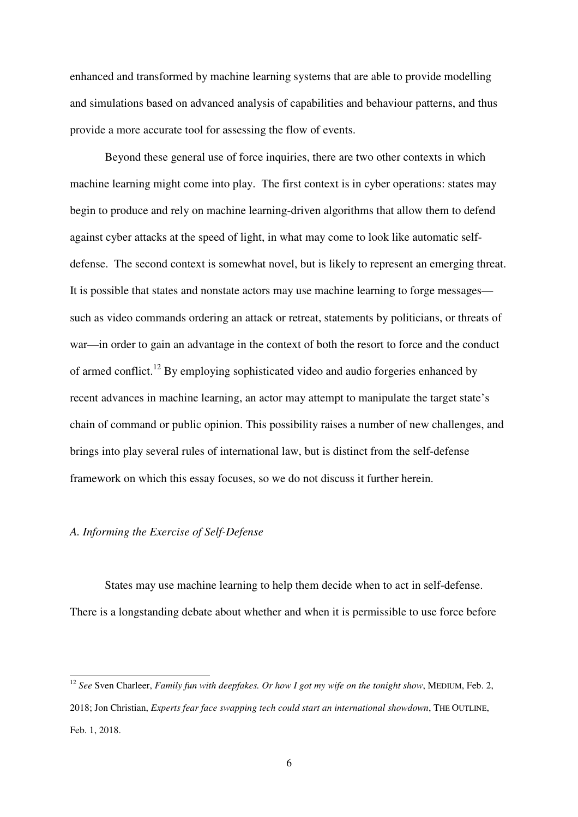enhanced and transformed by machine learning systems that are able to provide modelling and simulations based on advanced analysis of capabilities and behaviour patterns, and thus provide a more accurate tool for assessing the flow of events.

Beyond these general use of force inquiries, there are two other contexts in which machine learning might come into play. The first context is in cyber operations: states may begin to produce and rely on machine learning-driven algorithms that allow them to defend against cyber attacks at the speed of light, in what may come to look like automatic selfdefense. The second context is somewhat novel, but is likely to represent an emerging threat. It is possible that states and nonstate actors may use machine learning to forge messages such as video commands ordering an attack or retreat, statements by politicians, or threats of war—in order to gain an advantage in the context of both the resort to force and the conduct of armed conflict.<sup>12</sup> By employing sophisticated video and audio forgeries enhanced by recent advances in machine learning, an actor may attempt to manipulate the target state's chain of command or public opinion. This possibility raises a number of new challenges, and brings into play several rules of international law, but is distinct from the self-defense framework on which this essay focuses, so we do not discuss it further herein.

## *A. Informing the Exercise of Self-Defense*

 $\overline{a}$ 

States may use machine learning to help them decide when to act in self-defense. There is a longstanding debate about whether and when it is permissible to use force before

<sup>12</sup> *See* Sven Charleer, *Family fun with deepfakes. Or how I got my wife on the tonight show*, MEDIUM, Feb. 2, 2018; Jon Christian, *Experts fear face swapping tech could start an international showdown*, THE OUTLINE, Feb. 1, 2018.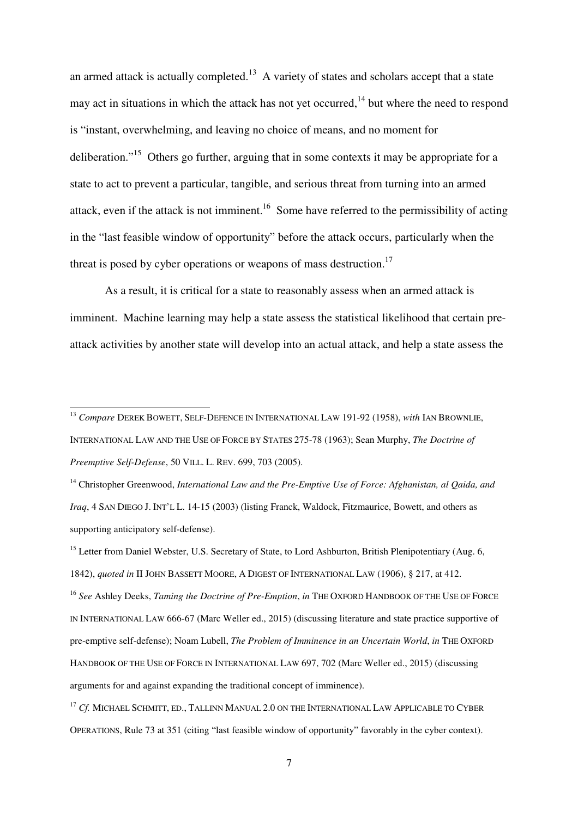an armed attack is actually completed.<sup>13</sup> A variety of states and scholars accept that a state may act in situations in which the attack has not yet occurred,  $14$  but where the need to respond is "instant, overwhelming, and leaving no choice of means, and no moment for deliberation."<sup>15</sup> Others go further, arguing that in some contexts it may be appropriate for a state to act to prevent a particular, tangible, and serious threat from turning into an armed attack, even if the attack is not imminent.<sup>16</sup> Some have referred to the permissibility of acting in the "last feasible window of opportunity" before the attack occurs, particularly when the threat is posed by cyber operations or weapons of mass destruction.<sup>17</sup>

As a result, it is critical for a state to reasonably assess when an armed attack is imminent. Machine learning may help a state assess the statistical likelihood that certain preattack activities by another state will develop into an actual attack, and help a state assess the

 $\overline{a}$ 

<sup>14</sup> Christopher Greenwood, *International Law and the Pre-Emptive Use of Force: Afghanistan, al Qaida, and Iraq*, 4 SAN DIEGO J. INT'L L. 14-15 (2003) (listing Franck, Waldock, Fitzmaurice, Bowett, and others as supporting anticipatory self-defense).

<sup>15</sup> Letter from Daniel Webster, U.S. Secretary of State, to Lord Ashburton, British Plenipotentiary (Aug. 6, 1842), *quoted in* II JOHN BASSETT MOORE, A DIGEST OF INTERNATIONAL LAW (1906), § 217, at 412. <sup>16</sup> *See* Ashley Deeks, *Taming the Doctrine of Pre-Emption*, *in* THE OXFORD HANDBOOK OF THE USE OF FORCE IN INTERNATIONAL LAW 666-67 (Marc Weller ed., 2015) (discussing literature and state practice supportive of pre-emptive self-defense); Noam Lubell, *The Problem of Imminence in an Uncertain World*, *in* THE OXFORD HANDBOOK OF THE USE OF FORCE IN INTERNATIONAL LAW 697, 702 (Marc Weller ed., 2015) (discussing arguments for and against expanding the traditional concept of imminence).

<sup>17</sup> *Cf.* MICHAEL SCHMITT, ED., TALLINN MANUAL 2.0 ON THE INTERNATIONAL LAW APPLICABLE TO CYBER OPERATIONS, Rule 73 at 351 (citing "last feasible window of opportunity" favorably in the cyber context).

<sup>13</sup> *Compare* DEREK BOWETT, SELF-DEFENCE IN INTERNATIONAL LAW 191-92 (1958), *with* IAN BROWNLIE, INTERNATIONAL LAW AND THE USE OF FORCE BY STATES 275-78 (1963); Sean Murphy, *The Doctrine of Preemptive Self-Defense*, 50 VILL. L. REV. 699, 703 (2005).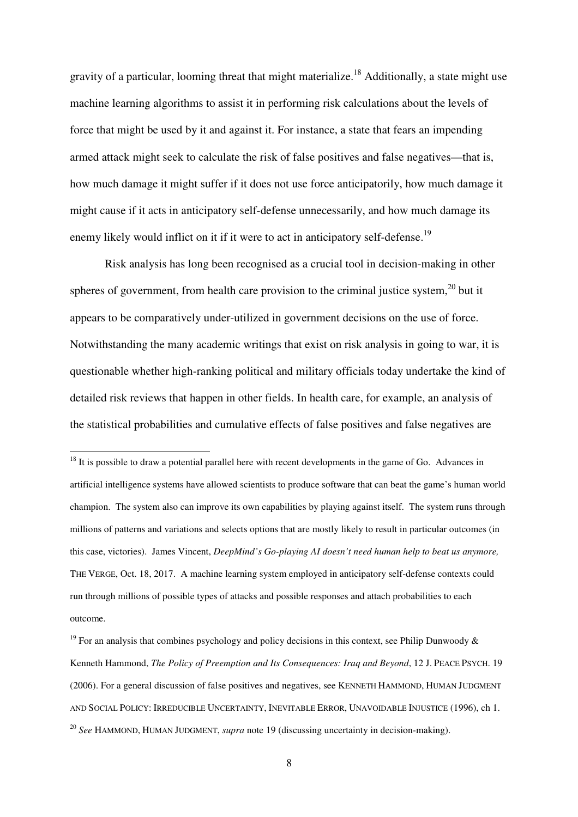gravity of a particular, looming threat that might materialize.<sup>18</sup> Additionally, a state might use machine learning algorithms to assist it in performing risk calculations about the levels of force that might be used by it and against it. For instance, a state that fears an impending armed attack might seek to calculate the risk of false positives and false negatives—that is, how much damage it might suffer if it does not use force anticipatorily, how much damage it might cause if it acts in anticipatory self-defense unnecessarily, and how much damage its enemy likely would inflict on it if it were to act in anticipatory self-defense.<sup>19</sup>

Risk analysis has long been recognised as a crucial tool in decision-making in other spheres of government, from health care provision to the criminal justice system, $^{20}$  but it appears to be comparatively under-utilized in government decisions on the use of force. Notwithstanding the many academic writings that exist on risk analysis in going to war, it is questionable whether high-ranking political and military officials today undertake the kind of detailed risk reviews that happen in other fields. In health care, for example, an analysis of the statistical probabilities and cumulative effects of false positives and false negatives are

 $18$  It is possible to draw a potential parallel here with recent developments in the game of Go. Advances in artificial intelligence systems have allowed scientists to produce software that can beat the game's human world champion. The system also can improve its own capabilities by playing against itself. The system runs through millions of patterns and variations and selects options that are mostly likely to result in particular outcomes (in this case, victories). James Vincent, *DeepMind's Go-playing AI doesn't need human help to beat us anymore,* THE VERGE, Oct. 18, 2017. A machine learning system employed in anticipatory self-defense contexts could run through millions of possible types of attacks and possible responses and attach probabilities to each outcome.

<sup>&</sup>lt;sup>19</sup> For an analysis that combines psychology and policy decisions in this context, see Philip Dunwoody & Kenneth Hammond, *The Policy of Preemption and Its Consequences: Iraq and Beyond*, 12 J. PEACE PSYCH. 19 (2006). For a general discussion of false positives and negatives, see KENNETH HAMMOND, HUMAN JUDGMENT AND SOCIAL POLICY: IRREDUCIBLE UNCERTAINTY, INEVITABLE ERROR, UNAVOIDABLE INJUSTICE (1996), ch 1. <sup>20</sup> *See* HAMMOND, HUMAN JUDGMENT, *supra* note 19 (discussing uncertainty in decision-making).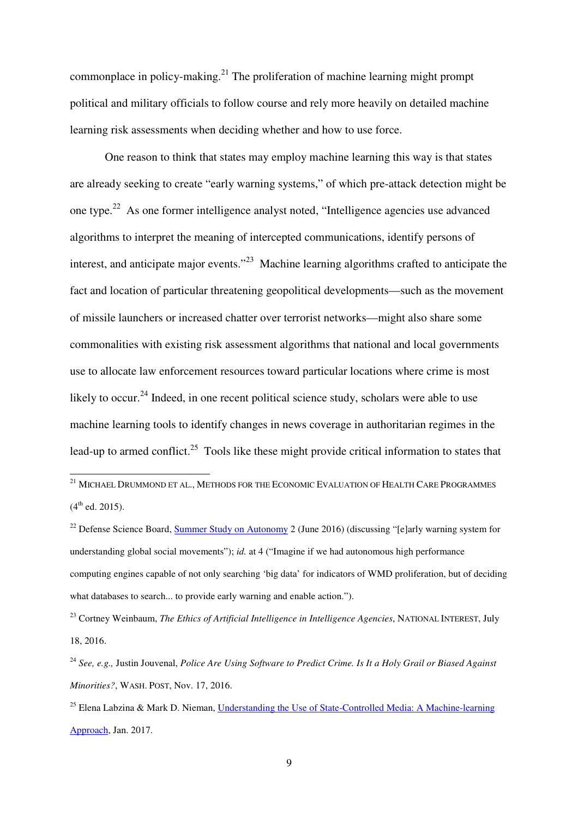commonplace in policy-making.<sup>21</sup> The proliferation of machine learning might prompt political and military officials to follow course and rely more heavily on detailed machine learning risk assessments when deciding whether and how to use force.

One reason to think that states may employ machine learning this way is that states are already seeking to create "early warning systems," of which pre-attack detection might be one type.<sup>22</sup> As one former intelligence analyst noted, "Intelligence agencies use advanced algorithms to interpret the meaning of intercepted communications, identify persons of interest, and anticipate major events."<sup>23</sup> Machine learning algorithms crafted to anticipate the fact and location of particular threatening geopolitical developments—such as the movement of missile launchers or increased chatter over terrorist networks—might also share some commonalities with existing risk assessment algorithms that national and local governments use to allocate law enforcement resources toward particular locations where crime is most likely to occur.<sup>24</sup> Indeed, in one recent political science study, scholars were able to use machine learning tools to identify changes in news coverage in authoritarian regimes in the lead-up to armed conflict.<sup>25</sup> Tools like these might provide critical information to states that

 $^{21}$  Michael Drummond et al., Methods for the Economic Evaluation of Health Care Programmes  $(4^{th}$  ed. 2015).

<sup>&</sup>lt;sup>22</sup> Defense Science Board, Summer Study on Autonomy 2 (June 2016) (discussing "[e]arly warning system for understanding global social movements"); *id.* at 4 ("Imagine if we had autonomous high performance computing engines capable of not only searching 'big data' for indicators of WMD proliferation, but of deciding what databases to search... to provide early warning and enable action.").

<sup>23</sup> Cortney Weinbaum, *The Ethics of Artificial Intelligence in Intelligence Agencies*, NATIONAL INTEREST, July 18, 2016.

<sup>24</sup> *See, e.g.,* Justin Jouvenal, *Police Are Using Software to Predict Crime. Is It a Holy Grail or Biased Against Minorities?*, WASH. POST, Nov. 17, 2016.

<sup>&</sup>lt;sup>25</sup> Elena Labzina & Mark D. Nieman, Understanding the Use of State-Controlled Media: A Machine-learning Approach, Jan. 2017.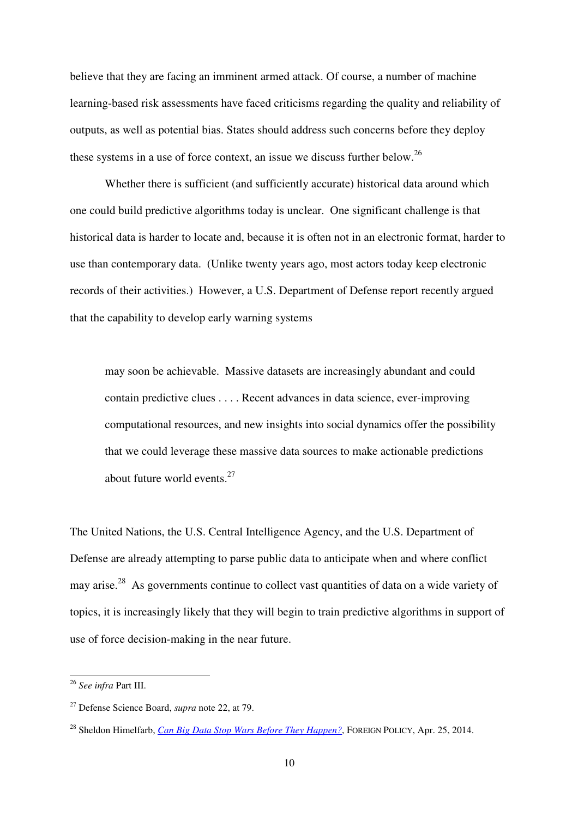believe that they are facing an imminent armed attack. Of course, a number of machine learning-based risk assessments have faced criticisms regarding the quality and reliability of outputs, as well as potential bias. States should address such concerns before they deploy these systems in a use of force context, an issue we discuss further below.<sup>26</sup>

Whether there is sufficient (and sufficiently accurate) historical data around which one could build predictive algorithms today is unclear. One significant challenge is that historical data is harder to locate and, because it is often not in an electronic format, harder to use than contemporary data. (Unlike twenty years ago, most actors today keep electronic records of their activities.) However, a U.S. Department of Defense report recently argued that the capability to develop early warning systems

may soon be achievable. Massive datasets are increasingly abundant and could contain predictive clues . . . . Recent advances in data science, ever-improving computational resources, and new insights into social dynamics offer the possibility that we could leverage these massive data sources to make actionable predictions about future world events. $27$ 

The United Nations, the U.S. Central Intelligence Agency, and the U.S. Department of Defense are already attempting to parse public data to anticipate when and where conflict may arise.<sup>28</sup> As governments continue to collect vast quantities of data on a wide variety of topics, it is increasingly likely that they will begin to train predictive algorithms in support of use of force decision-making in the near future.

<sup>26</sup> *See infra* Part III.

<sup>27</sup> Defense Science Board, *supra* note 22, at 79.

<sup>&</sup>lt;sup>28</sup> Sheldon Himelfarb, *Can Big Data Stop Wars Before They Happen?*, FOREIGN POLICY, Apr. 25, 2014.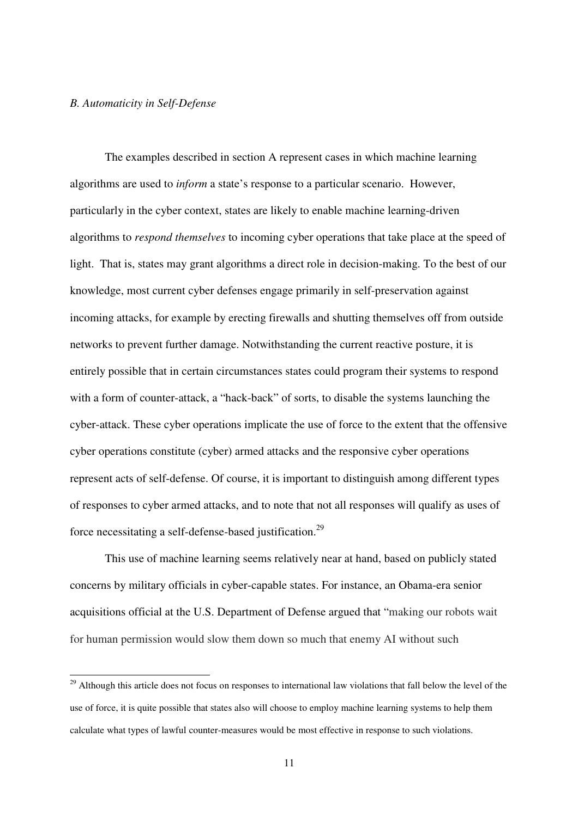#### *B. Automaticity in Self-Defense*

 $\overline{a}$ 

The examples described in section A represent cases in which machine learning algorithms are used to *inform* a state's response to a particular scenario. However, particularly in the cyber context, states are likely to enable machine learning-driven algorithms to *respond themselves* to incoming cyber operations that take place at the speed of light. That is, states may grant algorithms a direct role in decision-making. To the best of our knowledge, most current cyber defenses engage primarily in self-preservation against incoming attacks, for example by erecting firewalls and shutting themselves off from outside networks to prevent further damage. Notwithstanding the current reactive posture, it is entirely possible that in certain circumstances states could program their systems to respond with a form of counter-attack, a "hack-back" of sorts, to disable the systems launching the cyber-attack. These cyber operations implicate the use of force to the extent that the offensive cyber operations constitute (cyber) armed attacks and the responsive cyber operations represent acts of self-defense. Of course, it is important to distinguish among different types of responses to cyber armed attacks, and to note that not all responses will qualify as uses of force necessitating a self-defense-based justification.<sup>29</sup>

This use of machine learning seems relatively near at hand, based on publicly stated concerns by military officials in cyber-capable states. For instance, an Obama-era senior acquisitions official at the U.S. Department of Defense argued that "making our robots wait for human permission would slow them down so much that enemy AI without such

<sup>&</sup>lt;sup>29</sup> Although this article does not focus on responses to international law violations that fall below the level of the use of force, it is quite possible that states also will choose to employ machine learning systems to help them calculate what types of lawful counter-measures would be most effective in response to such violations.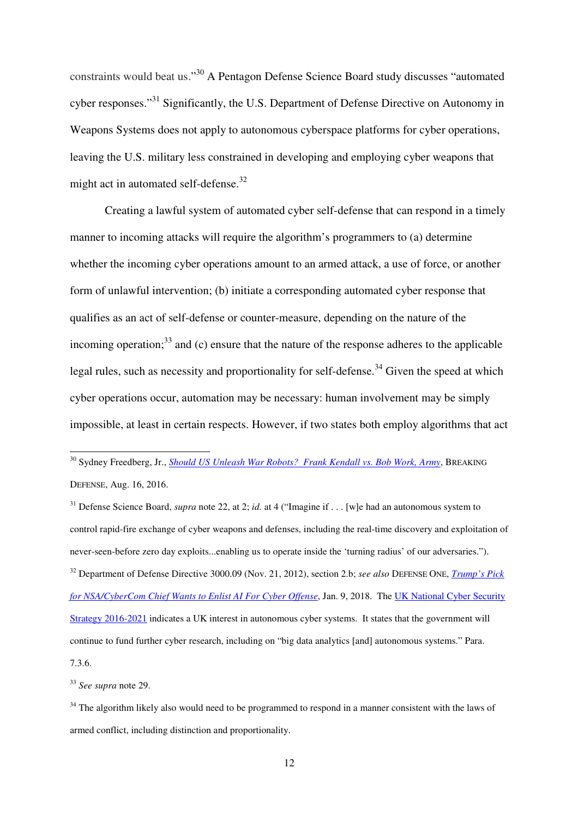constraints would beat us."<sup>30</sup> A Pentagon Defense Science Board study discusses "automated cyber responses."<sup>31</sup> Significantly, the U.S. Department of Defense Directive on Autonomy in Weapons Systems does not apply to autonomous cyberspace platforms for cyber operations, leaving the U.S. military less constrained in developing and employing cyber weapons that might act in automated self-defense.<sup>32</sup>

Creating a lawful system of automated cyber self-defense that can respond in a timely manner to incoming attacks will require the algorithm's programmers to (a) determine whether the incoming cyber operations amount to an armed attack, a use of force, or another form of unlawful intervention; (b) initiate a corresponding automated cyber response that qualifies as an act of self-defense or counter-measure, depending on the nature of the incoming operation; $33$  and (c) ensure that the nature of the response adheres to the applicable legal rules, such as necessity and proportionality for self-defense.<sup>34</sup> Given the speed at which cyber operations occur, automation may be necessary: human involvement may be simply impossible, at least in certain respects. However, if two states both employ algorithms that act

<sup>30</sup> Sydney Freedberg, Jr., <u>Should US Unleash War Robots? Frank Kendall vs. Bob Work, Army,</u> BREAKING DEFENSE, Aug. 16, 2016.

<sup>31</sup> Defense Science Board, *supra* note 22, at 2; *id.* at 4 ("Imagine if . . . [w]e had an autonomous system to control rapid-fire exchange of cyber weapons and defenses, including the real-time discovery and exploitation of never-seen-before zero day exploits...enabling us to operate inside the 'turning radius' of our adversaries."). <sup>32</sup> Department of Defense Directive 3000.09 (Nov. 21, 2012), section 2.b; *see also* DEFENSE ONE, *Trump's Pick for NSA/CyberCom Chief Wants to Enlist AI For Cyber Offense*, Jan. 9, 2018. The UK National Cyber Security Strategy 2016-2021 indicates a UK interest in autonomous cyber systems. It states that the government will continue to fund further cyber research, including on "big data analytics [and] autonomous systems." Para.

7.3.6.

 $\overline{a}$ 

<sup>33</sup> *See supra* note 29.

 $34$  The algorithm likely also would need to be programmed to respond in a manner consistent with the laws of armed conflict, including distinction and proportionality.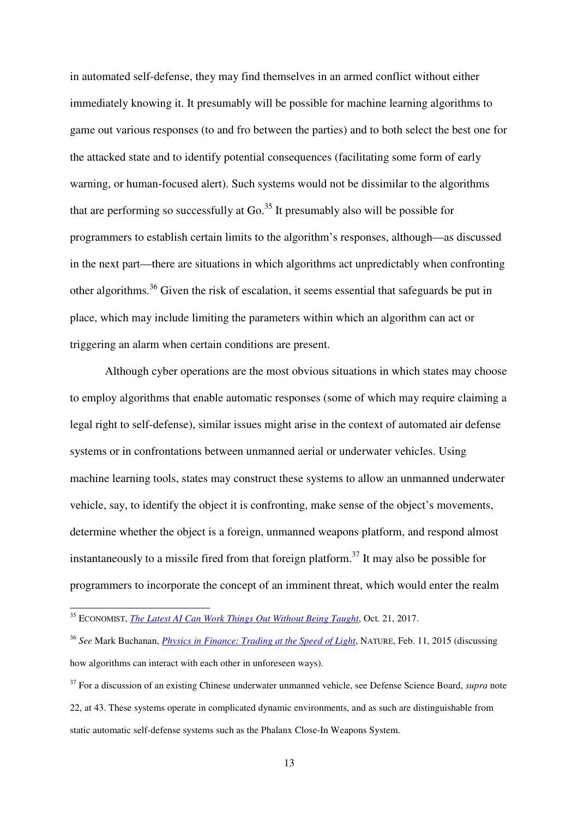in automated self-defense, they may find themselves in an armed conflict without either immediately knowing it. It presumably will be possible for machine learning algorithms to game out various responses (to and fro between the parties) and to both select the best one for the attacked state and to identify potential consequences (facilitating some form of early warning, or human-focused alert). Such systems would not be dissimilar to the algorithms that are performing so successfully at  $Go<sup>35</sup>$  It presumably also will be possible for programmers to establish certain limits to the algorithm's responses, although—as discussed in the next part—there are situations in which algorithms act unpredictably when confronting other algorithms.<sup>36</sup> Given the risk of escalation, it seems essential that safeguards be put in place, which may include limiting the parameters within which an algorithm can act or triggering an alarm when certain conditions are present.

Although cyber operations are the most obvious situations in which states may choose to employ algorithms that enable automatic responses (some of which may require claiming a legal right to self-defense), similar issues might arise in the context of automated air defense systems or in confrontations between unmanned aerial or underwater vehicles. Using machine learning tools, states may construct these systems to allow an unmanned underwater vehicle, say, to identify the object it is confronting, make sense of the object's movements, determine whether the object is a foreign, unmanned weapons platform, and respond almost instantaneously to a missile fired from that foreign platform.<sup>37</sup> It may also be possible for programmers to incorporate the concept of an imminent threat, which would enter the realm

<sup>35</sup> ECONOMIST, *The Latest AI Can Work Things Out Without Being Taught*, Oct. 21, 2017.

<sup>36</sup> *See* Mark Buchanan, *Physics in Finance: Trading at the Speed of Light*, NATURE, Feb. 11, 2015 (discussing how algorithms can interact with each other in unforeseen ways).

<sup>&</sup>lt;sup>37</sup> For a discussion of an existing Chinese underwater unmanned vehicle, see Defense Science Board, *supra* note 22, at 43. These systems operate in complicated dynamic environments, and as such are distinguishable from static automatic self-defense systems such as the Phalanx Close-In Weapons System.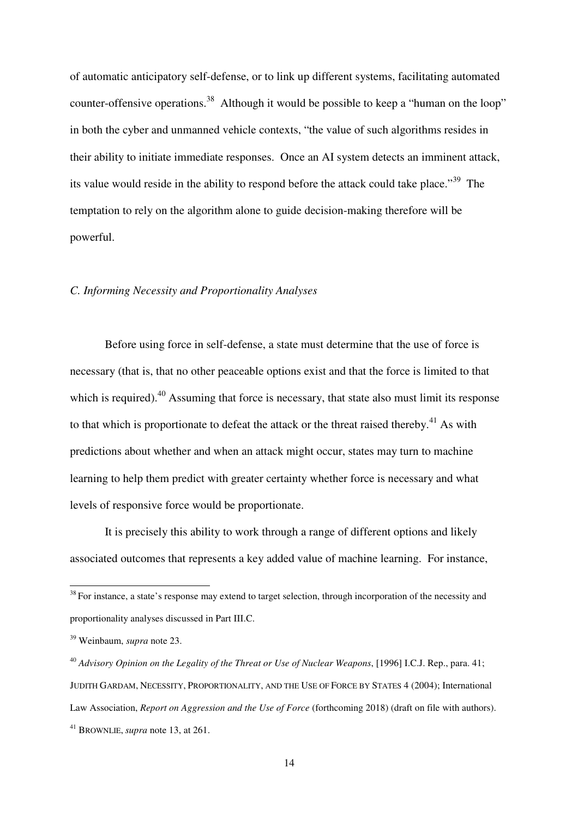of automatic anticipatory self-defense, or to link up different systems, facilitating automated counter-offensive operations.<sup>38</sup> Although it would be possible to keep a "human on the loop" in both the cyber and unmanned vehicle contexts, "the value of such algorithms resides in their ability to initiate immediate responses. Once an AI system detects an imminent attack, its value would reside in the ability to respond before the attack could take place."<sup>39</sup> The temptation to rely on the algorithm alone to guide decision-making therefore will be powerful.

#### *C. Informing Necessity and Proportionality Analyses*

Before using force in self-defense, a state must determine that the use of force is necessary (that is, that no other peaceable options exist and that the force is limited to that which is required).<sup>40</sup> Assuming that force is necessary, that state also must limit its response to that which is proportionate to defeat the attack or the threat raised thereby.<sup>41</sup> As with predictions about whether and when an attack might occur, states may turn to machine learning to help them predict with greater certainty whether force is necessary and what levels of responsive force would be proportionate.

It is precisely this ability to work through a range of different options and likely associated outcomes that represents a key added value of machine learning. For instance,

 $38$  For instance, a state's response may extend to target selection, through incorporation of the necessity and proportionality analyses discussed in Part III.C.

<sup>39</sup> Weinbaum, *supra* note 23.

<sup>40</sup> *Advisory Opinion on the Legality of the Threat or Use of Nuclear Weapons*, [1996] I.C.J. Rep., para. 41; JUDITH GARDAM, NECESSITY, PROPORTIONALITY, AND THE USE OF FORCE BY STATES 4 (2004); International Law Association, *Report on Aggression and the Use of Force* (forthcoming 2018) (draft on file with authors). <sup>41</sup> BROWNLIE, *supra* note 13, at 261.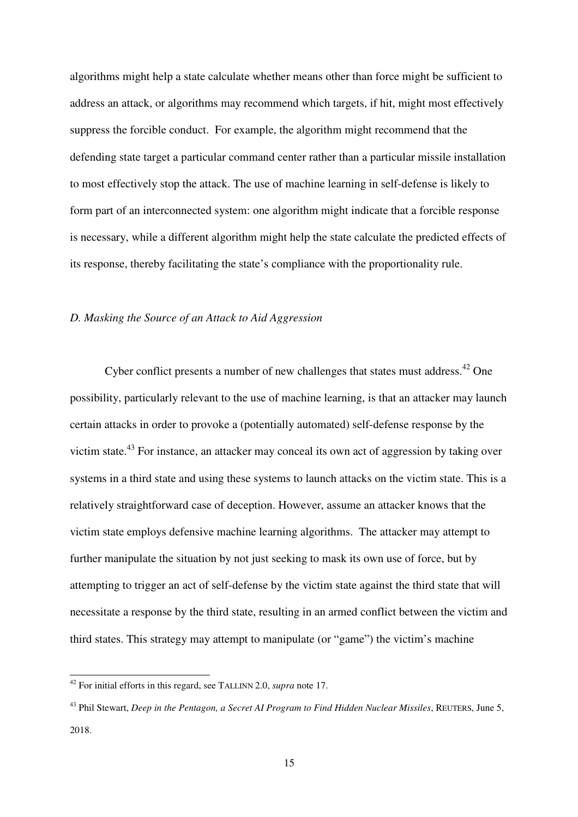algorithms might help a state calculate whether means other than force might be sufficient to address an attack, or algorithms may recommend which targets, if hit, might most effectively suppress the forcible conduct. For example, the algorithm might recommend that the defending state target a particular command center rather than a particular missile installation to most effectively stop the attack. The use of machine learning in self-defense is likely to form part of an interconnected system: one algorithm might indicate that a forcible response is necessary, while a different algorithm might help the state calculate the predicted effects of its response, thereby facilitating the state's compliance with the proportionality rule.

#### *D. Masking the Source of an Attack to Aid Aggression*

Cyber conflict presents a number of new challenges that states must address.<sup>42</sup> One possibility, particularly relevant to the use of machine learning, is that an attacker may launch certain attacks in order to provoke a (potentially automated) self-defense response by the victim state.<sup>43</sup> For instance, an attacker may conceal its own act of aggression by taking over systems in a third state and using these systems to launch attacks on the victim state. This is a relatively straightforward case of deception. However, assume an attacker knows that the victim state employs defensive machine learning algorithms. The attacker may attempt to further manipulate the situation by not just seeking to mask its own use of force, but by attempting to trigger an act of self-defense by the victim state against the third state that will necessitate a response by the third state, resulting in an armed conflict between the victim and third states. This strategy may attempt to manipulate (or "game") the victim's machine

<sup>42</sup> For initial efforts in this regard, see TALLINN 2.0, *supra* note 17.

<sup>43</sup> Phil Stewart, *Deep in the Pentagon, a Secret AI Program to Find Hidden Nuclear Missiles*, REUTERS, June 5, 2018.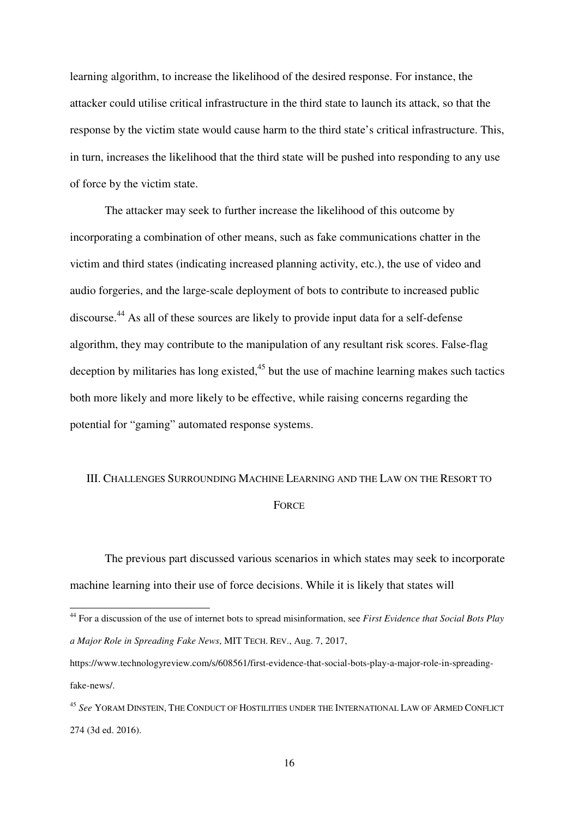learning algorithm, to increase the likelihood of the desired response. For instance, the attacker could utilise critical infrastructure in the third state to launch its attack, so that the response by the victim state would cause harm to the third state's critical infrastructure. This, in turn, increases the likelihood that the third state will be pushed into responding to any use of force by the victim state.

The attacker may seek to further increase the likelihood of this outcome by incorporating a combination of other means, such as fake communications chatter in the victim and third states (indicating increased planning activity, etc.), the use of video and audio forgeries, and the large-scale deployment of bots to contribute to increased public discourse.<sup>44</sup> As all of these sources are likely to provide input data for a self-defense algorithm, they may contribute to the manipulation of any resultant risk scores. False-flag deception by militaries has long existed, $45$  but the use of machine learning makes such tactics both more likely and more likely to be effective, while raising concerns regarding the potential for "gaming" automated response systems.

# III. CHALLENGES SURROUNDING MACHINE LEARNING AND THE LAW ON THE RESORT TO **FORCE**

The previous part discussed various scenarios in which states may seek to incorporate machine learning into their use of force decisions. While it is likely that states will

<sup>44</sup> For a discussion of the use of internet bots to spread misinformation, see *First Evidence that Social Bots Play a Major Role in Spreading Fake News*, MIT TECH. REV., Aug. 7, 2017,

https://www.technologyreview.com/s/608561/first-evidence-that-social-bots-play-a-major-role-in-spreadingfake-news/.

<sup>45</sup> *See* YORAM DINSTEIN, THE CONDUCT OF HOSTILITIES UNDER THE INTERNATIONAL LAW OF ARMED CONFLICT 274 (3d ed. 2016).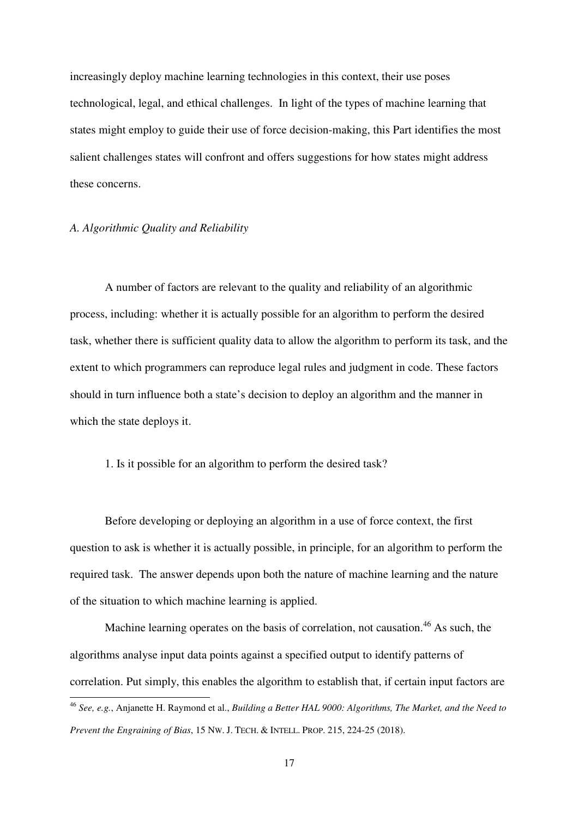increasingly deploy machine learning technologies in this context, their use poses technological, legal, and ethical challenges. In light of the types of machine learning that states might employ to guide their use of force decision-making, this Part identifies the most salient challenges states will confront and offers suggestions for how states might address these concerns.

## *A. Algorithmic Quality and Reliability*

A number of factors are relevant to the quality and reliability of an algorithmic process, including: whether it is actually possible for an algorithm to perform the desired task, whether there is sufficient quality data to allow the algorithm to perform its task, and the extent to which programmers can reproduce legal rules and judgment in code. These factors should in turn influence both a state's decision to deploy an algorithm and the manner in which the state deploys it.

## 1. Is it possible for an algorithm to perform the desired task?

Before developing or deploying an algorithm in a use of force context, the first question to ask is whether it is actually possible, in principle, for an algorithm to perform the required task. The answer depends upon both the nature of machine learning and the nature of the situation to which machine learning is applied.

Machine learning operates on the basis of correlation, not causation.<sup>46</sup> As such, the algorithms analyse input data points against a specified output to identify patterns of correlation. Put simply, this enables the algorithm to establish that, if certain input factors are  $\overline{a}$ 

<sup>46</sup> *See, e.g.*, Anjanette H. Raymond et al., *Building a Better HAL 9000: Algorithms, The Market, and the Need to Prevent the Engraining of Bias*, 15 NW. J. TECH. & INTELL. PROP. 215, 224-25 (2018).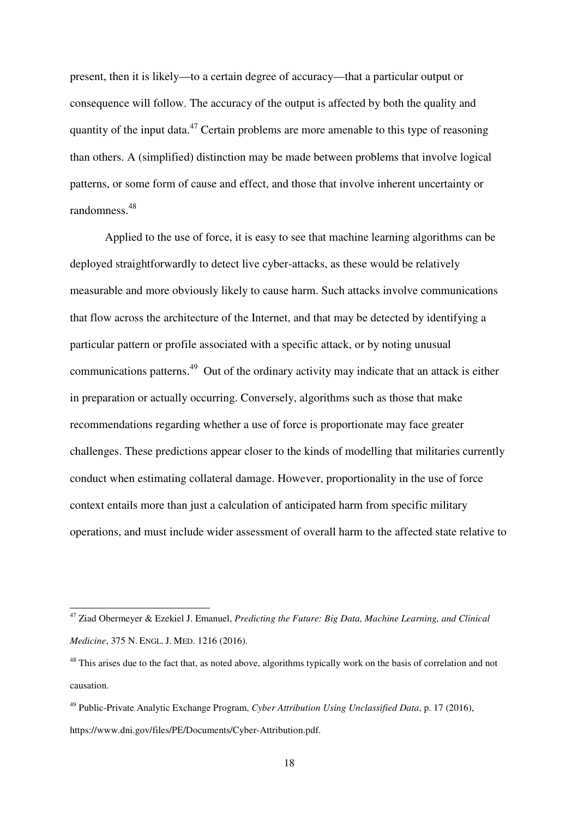present, then it is likely—to a certain degree of accuracy—that a particular output or consequence will follow. The accuracy of the output is affected by both the quality and quantity of the input data.<sup>47</sup> Certain problems are more amenable to this type of reasoning than others. A (simplified) distinction may be made between problems that involve logical patterns, or some form of cause and effect, and those that involve inherent uncertainty or randomness.<sup>48</sup>

Applied to the use of force, it is easy to see that machine learning algorithms can be deployed straightforwardly to detect live cyber-attacks, as these would be relatively measurable and more obviously likely to cause harm. Such attacks involve communications that flow across the architecture of the Internet, and that may be detected by identifying a particular pattern or profile associated with a specific attack, or by noting unusual communications patterns.<sup>49</sup> Out of the ordinary activity may indicate that an attack is either in preparation or actually occurring. Conversely, algorithms such as those that make recommendations regarding whether a use of force is proportionate may face greater challenges. These predictions appear closer to the kinds of modelling that militaries currently conduct when estimating collateral damage. However, proportionality in the use of force context entails more than just a calculation of anticipated harm from specific military operations, and must include wider assessment of overall harm to the affected state relative to

<sup>47</sup> Ziad Obermeyer & Ezekiel J. Emanuel, *Predicting the Future: Big Data, Machine Learning, and Clinical Medicine*, 375 N. ENGL. J. MED. 1216 (2016).

<sup>&</sup>lt;sup>48</sup> This arises due to the fact that, as noted above, algorithms typically work on the basis of correlation and not causation.

<sup>49</sup> Public-Private Analytic Exchange Program, *Cyber Attribution Using Unclassified Data*, p. 17 (2016), https://www.dni.gov/files/PE/Documents/Cyber-Attribution.pdf.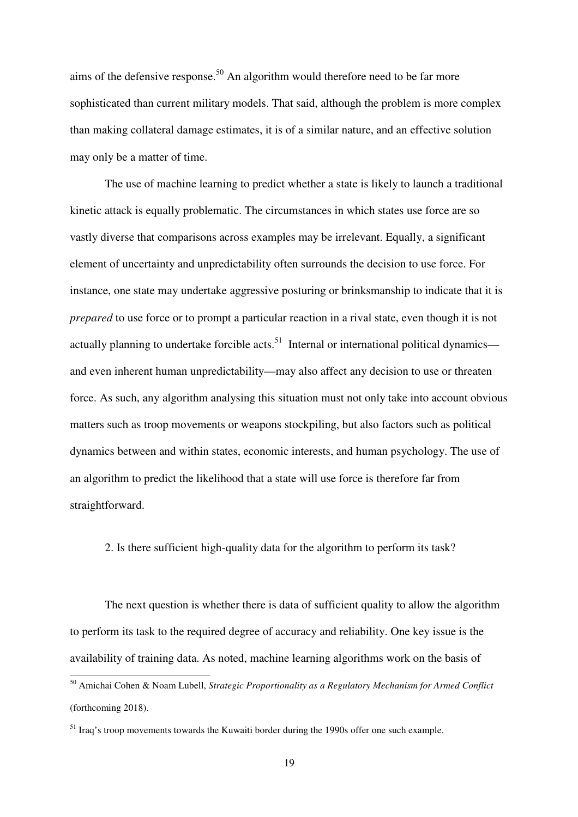aims of the defensive response.<sup>50</sup> An algorithm would therefore need to be far more sophisticated than current military models. That said, although the problem is more complex than making collateral damage estimates, it is of a similar nature, and an effective solution may only be a matter of time.

The use of machine learning to predict whether a state is likely to launch a traditional kinetic attack is equally problematic. The circumstances in which states use force are so vastly diverse that comparisons across examples may be irrelevant. Equally, a significant element of uncertainty and unpredictability often surrounds the decision to use force. For instance, one state may undertake aggressive posturing or brinksmanship to indicate that it is *prepared* to use force or to prompt a particular reaction in a rival state, even though it is not actually planning to undertake forcible acts.<sup>51</sup> Internal or international political dynamics and even inherent human unpredictability—may also affect any decision to use or threaten force. As such, any algorithm analysing this situation must not only take into account obvious matters such as troop movements or weapons stockpiling, but also factors such as political dynamics between and within states, economic interests, and human psychology. The use of an algorithm to predict the likelihood that a state will use force is therefore far from straightforward.

2. Is there sufficient high-quality data for the algorithm to perform its task?

The next question is whether there is data of sufficient quality to allow the algorithm to perform its task to the required degree of accuracy and reliability. One key issue is the availability of training data. As noted, machine learning algorithms work on the basis of

<sup>50</sup> Amichai Cohen & Noam Lubell, *Strategic Proportionality as a Regulatory Mechanism for Armed Conflict* (forthcoming 2018).

<sup>&</sup>lt;sup>51</sup> Iraq's troop movements towards the Kuwaiti border during the 1990s offer one such example.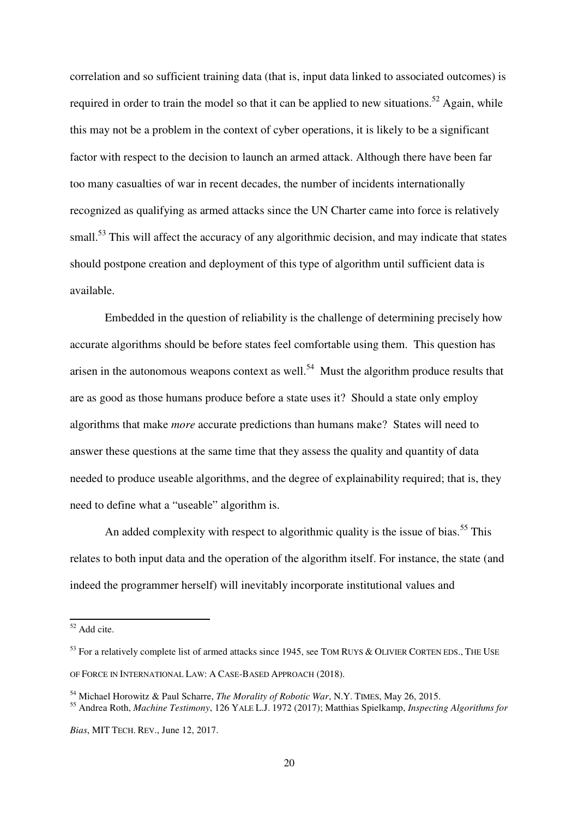correlation and so sufficient training data (that is, input data linked to associated outcomes) is required in order to train the model so that it can be applied to new situations.<sup>52</sup> Again, while this may not be a problem in the context of cyber operations, it is likely to be a significant factor with respect to the decision to launch an armed attack. Although there have been far too many casualties of war in recent decades, the number of incidents internationally recognized as qualifying as armed attacks since the UN Charter came into force is relatively small.<sup>53</sup> This will affect the accuracy of any algorithmic decision, and may indicate that states should postpone creation and deployment of this type of algorithm until sufficient data is available.

Embedded in the question of reliability is the challenge of determining precisely how accurate algorithms should be before states feel comfortable using them. This question has arisen in the autonomous weapons context as well.<sup>54</sup> Must the algorithm produce results that are as good as those humans produce before a state uses it? Should a state only employ algorithms that make *more* accurate predictions than humans make? States will need to answer these questions at the same time that they assess the quality and quantity of data needed to produce useable algorithms, and the degree of explainability required; that is, they need to define what a "useable" algorithm is.

An added complexity with respect to algorithmic quality is the issue of bias.<sup>55</sup> This relates to both input data and the operation of the algorithm itself. For instance, the state (and indeed the programmer herself) will inevitably incorporate institutional values and

 $52$  Add cite.

<sup>&</sup>lt;sup>53</sup> For a relatively complete list of armed attacks since 1945, see TOM RUYS & OLIVIER CORTEN EDS., THE USE OF FORCE IN INTERNATIONAL LAW: A CASE-BASED APPROACH (2018).

<sup>54</sup> Michael Horowitz & Paul Scharre, *The Morality of Robotic War*, N.Y. TIMES, May 26, 2015.

<sup>55</sup> Andrea Roth, *Machine Testimony*, 126 YALE L.J. 1972 (2017); Matthias Spielkamp, *Inspecting Algorithms for Bias*, MIT TECH. REV., June 12, 2017.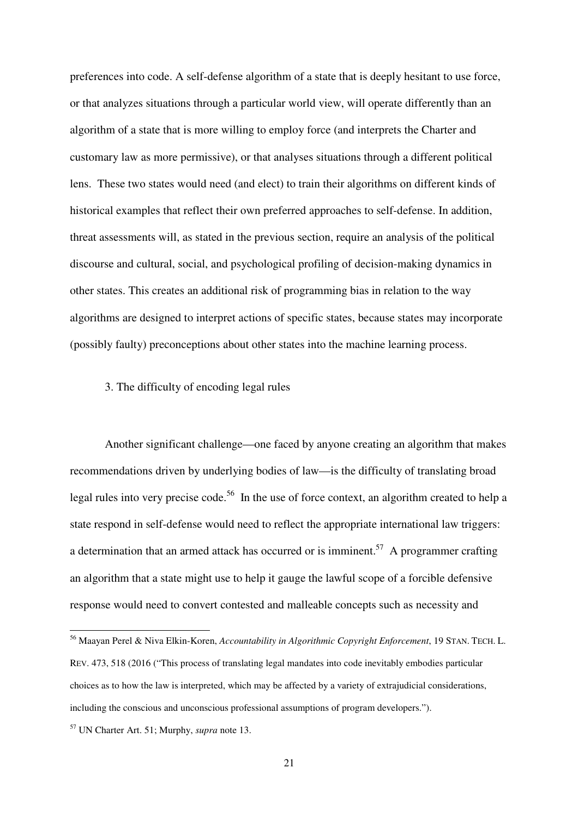preferences into code. A self-defense algorithm of a state that is deeply hesitant to use force, or that analyzes situations through a particular world view, will operate differently than an algorithm of a state that is more willing to employ force (and interprets the Charter and customary law as more permissive), or that analyses situations through a different political lens. These two states would need (and elect) to train their algorithms on different kinds of historical examples that reflect their own preferred approaches to self-defense. In addition, threat assessments will, as stated in the previous section, require an analysis of the political discourse and cultural, social, and psychological profiling of decision-making dynamics in other states. This creates an additional risk of programming bias in relation to the way algorithms are designed to interpret actions of specific states, because states may incorporate (possibly faulty) preconceptions about other states into the machine learning process.

#### 3. The difficulty of encoding legal rules

Another significant challenge—one faced by anyone creating an algorithm that makes recommendations driven by underlying bodies of law—is the difficulty of translating broad legal rules into very precise code.<sup>56</sup> In the use of force context, an algorithm created to help a state respond in self-defense would need to reflect the appropriate international law triggers: a determination that an armed attack has occurred or is imminent.<sup>57</sup> A programmer crafting an algorithm that a state might use to help it gauge the lawful scope of a forcible defensive response would need to convert contested and malleable concepts such as necessity and

<sup>56</sup> Maayan Perel & Niva Elkin-Koren, *Accountability in Algorithmic Copyright Enforcement*, 19 STAN. TECH. L. REV. 473, 518 (2016 ("This process of translating legal mandates into code inevitably embodies particular choices as to how the law is interpreted, which may be affected by a variety of extrajudicial considerations, including the conscious and unconscious professional assumptions of program developers.").

<sup>57</sup> UN Charter Art. 51; Murphy, *supra* note 13.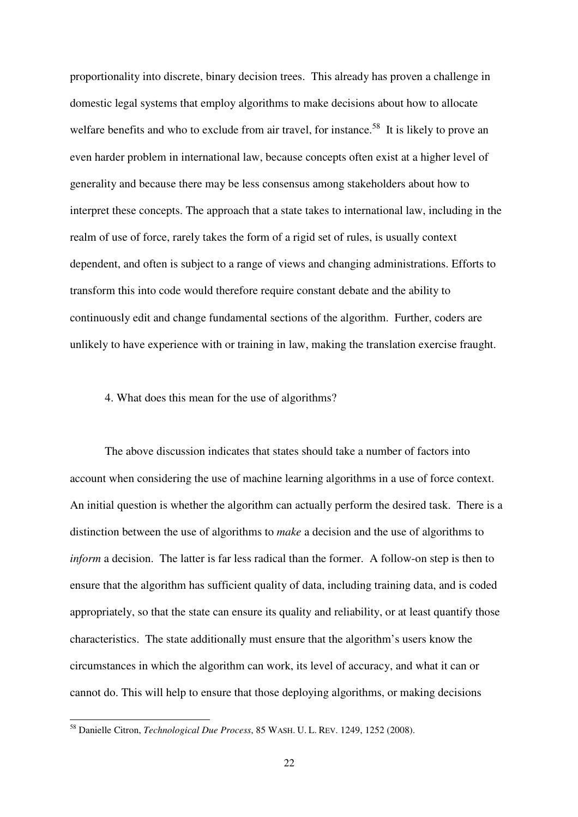proportionality into discrete, binary decision trees. This already has proven a challenge in domestic legal systems that employ algorithms to make decisions about how to allocate welfare benefits and who to exclude from air travel, for instance.<sup>58</sup> It is likely to prove an even harder problem in international law, because concepts often exist at a higher level of generality and because there may be less consensus among stakeholders about how to interpret these concepts. The approach that a state takes to international law, including in the realm of use of force, rarely takes the form of a rigid set of rules, is usually context dependent, and often is subject to a range of views and changing administrations. Efforts to transform this into code would therefore require constant debate and the ability to continuously edit and change fundamental sections of the algorithm. Further, coders are unlikely to have experience with or training in law, making the translation exercise fraught.

# 4. What does this mean for the use of algorithms?

The above discussion indicates that states should take a number of factors into account when considering the use of machine learning algorithms in a use of force context. An initial question is whether the algorithm can actually perform the desired task. There is a distinction between the use of algorithms to *make* a decision and the use of algorithms to *inform* a decision. The latter is far less radical than the former. A follow-on step is then to ensure that the algorithm has sufficient quality of data, including training data, and is coded appropriately, so that the state can ensure its quality and reliability, or at least quantify those characteristics. The state additionally must ensure that the algorithm's users know the circumstances in which the algorithm can work, its level of accuracy, and what it can or cannot do. This will help to ensure that those deploying algorithms, or making decisions

<sup>58</sup> Danielle Citron, *Technological Due Process*, 85 WASH. U. L. REV. 1249, 1252 (2008).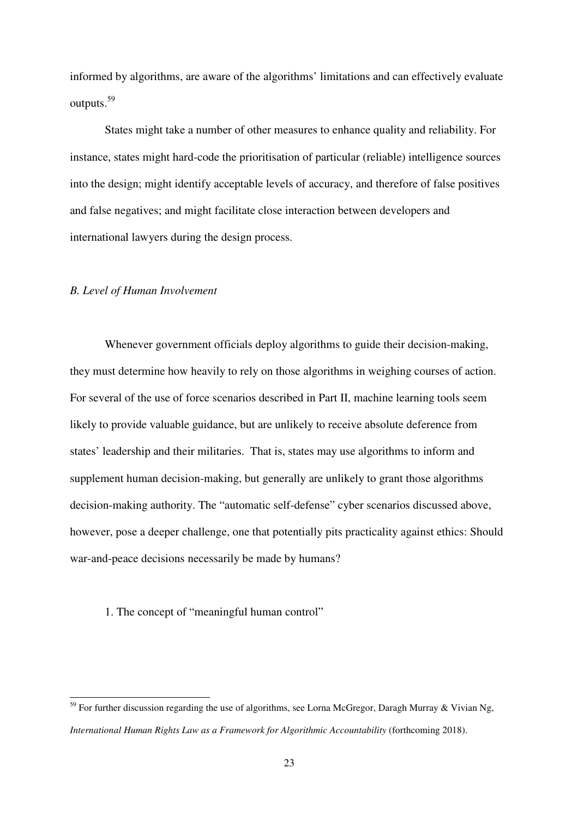informed by algorithms, are aware of the algorithms' limitations and can effectively evaluate outputs.<sup>59</sup>

States might take a number of other measures to enhance quality and reliability. For instance, states might hard-code the prioritisation of particular (reliable) intelligence sources into the design; might identify acceptable levels of accuracy, and therefore of false positives and false negatives; and might facilitate close interaction between developers and international lawyers during the design process.

#### *B. Level of Human Involvement*

 $\overline{a}$ 

Whenever government officials deploy algorithms to guide their decision-making, they must determine how heavily to rely on those algorithms in weighing courses of action. For several of the use of force scenarios described in Part II, machine learning tools seem likely to provide valuable guidance, but are unlikely to receive absolute deference from states' leadership and their militaries. That is, states may use algorithms to inform and supplement human decision-making, but generally are unlikely to grant those algorithms decision-making authority. The "automatic self-defense" cyber scenarios discussed above, however, pose a deeper challenge, one that potentially pits practicality against ethics: Should war-and-peace decisions necessarily be made by humans?

# 1. The concept of "meaningful human control"

<sup>&</sup>lt;sup>59</sup> For further discussion regarding the use of algorithms, see Lorna McGregor, Daragh Murray & Vivian Ng, *International Human Rights Law as a Framework for Algorithmic Accountability* (forthcoming 2018).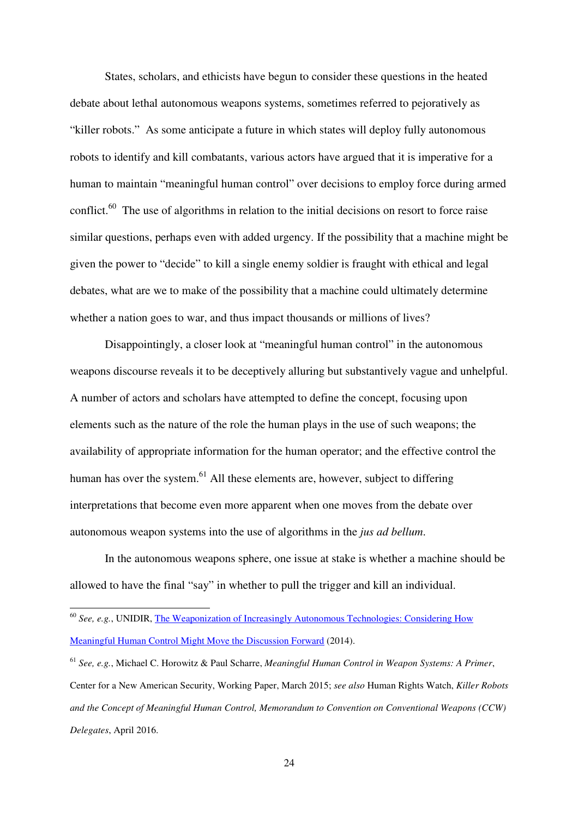States, scholars, and ethicists have begun to consider these questions in the heated debate about lethal autonomous weapons systems, sometimes referred to pejoratively as "killer robots." As some anticipate a future in which states will deploy fully autonomous robots to identify and kill combatants, various actors have argued that it is imperative for a human to maintain "meaningful human control" over decisions to employ force during armed conflict.<sup>60</sup> The use of algorithms in relation to the initial decisions on resort to force raise similar questions, perhaps even with added urgency. If the possibility that a machine might be given the power to "decide" to kill a single enemy soldier is fraught with ethical and legal debates, what are we to make of the possibility that a machine could ultimately determine whether a nation goes to war, and thus impact thousands or millions of lives?

Disappointingly, a closer look at "meaningful human control" in the autonomous weapons discourse reveals it to be deceptively alluring but substantively vague and unhelpful. A number of actors and scholars have attempted to define the concept, focusing upon elements such as the nature of the role the human plays in the use of such weapons; the availability of appropriate information for the human operator; and the effective control the human has over the system.<sup>61</sup> All these elements are, however, subject to differing interpretations that become even more apparent when one moves from the debate over autonomous weapon systems into the use of algorithms in the *jus ad bellum*.

In the autonomous weapons sphere, one issue at stake is whether a machine should be allowed to have the final "say" in whether to pull the trigger and kill an individual.

<sup>60</sup> *See, e.g.*, UNIDIR, The Weaponization of Increasingly Autonomous Technologies: Considering How Meaningful Human Control Might Move the Discussion Forward (2014).

<sup>61</sup> *See, e.g.*, Michael C. Horowitz & Paul Scharre, *Meaningful Human Control in Weapon Systems: A Primer*, Center for a New American Security, Working Paper, March 2015; *see also* Human Rights Watch, *Killer Robots and the Concept of Meaningful Human Control, Memorandum to Convention on Conventional Weapons (CCW) Delegates*, April 2016.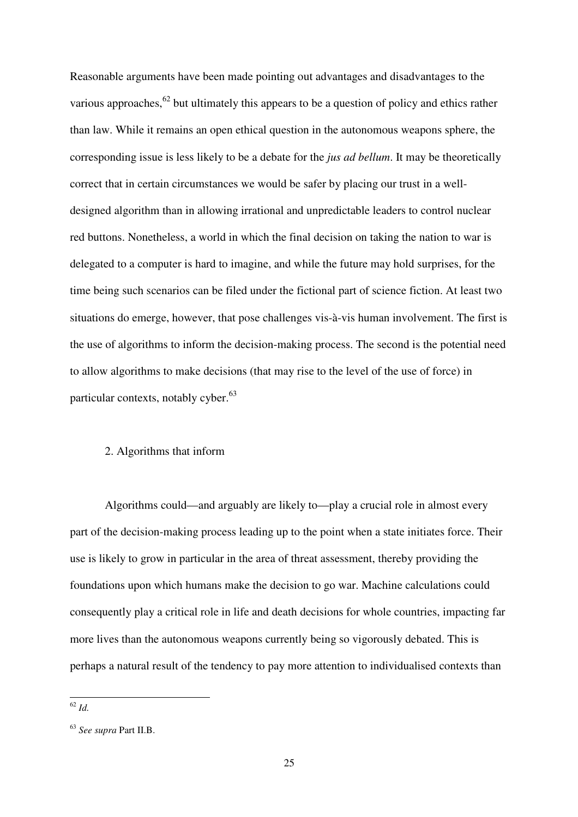Reasonable arguments have been made pointing out advantages and disadvantages to the various approaches,<sup>62</sup> but ultimately this appears to be a question of policy and ethics rather than law. While it remains an open ethical question in the autonomous weapons sphere, the corresponding issue is less likely to be a debate for the *jus ad bellum*. It may be theoretically correct that in certain circumstances we would be safer by placing our trust in a welldesigned algorithm than in allowing irrational and unpredictable leaders to control nuclear red buttons. Nonetheless, a world in which the final decision on taking the nation to war is delegated to a computer is hard to imagine, and while the future may hold surprises, for the time being such scenarios can be filed under the fictional part of science fiction. At least two situations do emerge, however, that pose challenges vis-à-vis human involvement. The first is the use of algorithms to inform the decision-making process. The second is the potential need to allow algorithms to make decisions (that may rise to the level of the use of force) in particular contexts, notably cyber.<sup>63</sup>

# 2. Algorithms that inform

Algorithms could—and arguably are likely to—play a crucial role in almost every part of the decision-making process leading up to the point when a state initiates force. Their use is likely to grow in particular in the area of threat assessment, thereby providing the foundations upon which humans make the decision to go war. Machine calculations could consequently play a critical role in life and death decisions for whole countries, impacting far more lives than the autonomous weapons currently being so vigorously debated. This is perhaps a natural result of the tendency to pay more attention to individualised contexts than

 $\overline{a}$ <sup>62</sup> *Id.* 

<sup>63</sup> *See supra* Part II.B.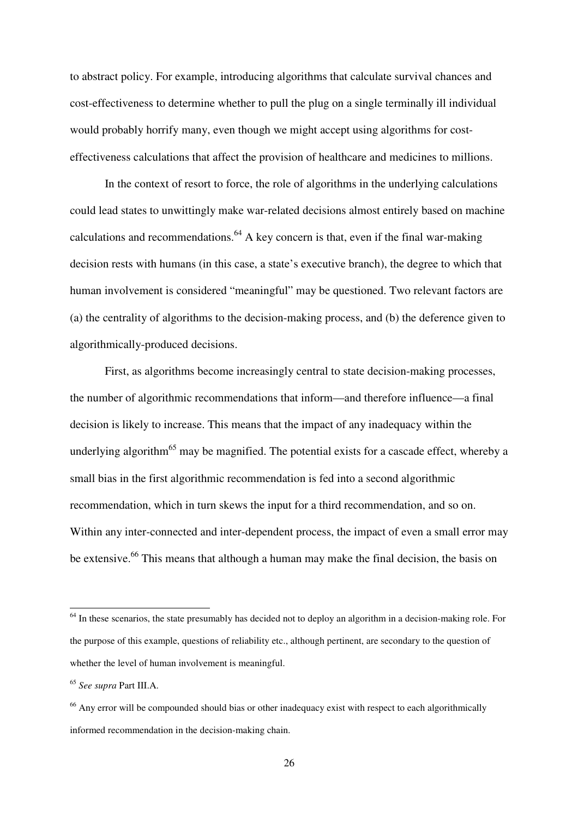to abstract policy. For example, introducing algorithms that calculate survival chances and cost-effectiveness to determine whether to pull the plug on a single terminally ill individual would probably horrify many, even though we might accept using algorithms for costeffectiveness calculations that affect the provision of healthcare and medicines to millions.

In the context of resort to force, the role of algorithms in the underlying calculations could lead states to unwittingly make war-related decisions almost entirely based on machine calculations and recommendations.<sup>64</sup> A key concern is that, even if the final war-making decision rests with humans (in this case, a state's executive branch), the degree to which that human involvement is considered "meaningful" may be questioned. Two relevant factors are (a) the centrality of algorithms to the decision-making process, and (b) the deference given to algorithmically-produced decisions.

First, as algorithms become increasingly central to state decision-making processes, the number of algorithmic recommendations that inform—and therefore influence—a final decision is likely to increase. This means that the impact of any inadequacy within the underlying algorithm<sup>65</sup> may be magnified. The potential exists for a cascade effect, whereby a small bias in the first algorithmic recommendation is fed into a second algorithmic recommendation, which in turn skews the input for a third recommendation, and so on. Within any inter-connected and inter-dependent process, the impact of even a small error may be extensive.<sup>66</sup> This means that although a human may make the final decision, the basis on

<sup>&</sup>lt;sup>64</sup> In these scenarios, the state presumably has decided not to deploy an algorithm in a decision-making role. For the purpose of this example, questions of reliability etc., although pertinent, are secondary to the question of whether the level of human involvement is meaningful.

<sup>65</sup> *See supra* Part III.A.

<sup>&</sup>lt;sup>66</sup> Any error will be compounded should bias or other inadequacy exist with respect to each algorithmically informed recommendation in the decision-making chain.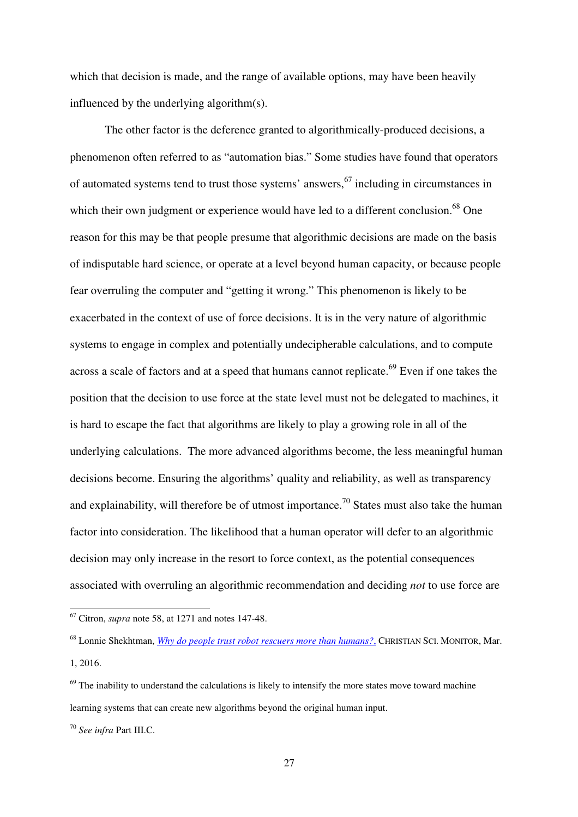which that decision is made, and the range of available options, may have been heavily influenced by the underlying algorithm(s).

The other factor is the deference granted to algorithmically-produced decisions, a phenomenon often referred to as "automation bias." Some studies have found that operators of automated systems tend to trust those systems' answers,  $67$  including in circumstances in which their own judgment or experience would have led to a different conclusion.<sup>68</sup> One reason for this may be that people presume that algorithmic decisions are made on the basis of indisputable hard science, or operate at a level beyond human capacity, or because people fear overruling the computer and "getting it wrong." This phenomenon is likely to be exacerbated in the context of use of force decisions. It is in the very nature of algorithmic systems to engage in complex and potentially undecipherable calculations, and to compute across a scale of factors and at a speed that humans cannot replicate.<sup>69</sup> Even if one takes the position that the decision to use force at the state level must not be delegated to machines, it is hard to escape the fact that algorithms are likely to play a growing role in all of the underlying calculations. The more advanced algorithms become, the less meaningful human decisions become. Ensuring the algorithms' quality and reliability, as well as transparency and explainability, will therefore be of utmost importance.<sup>70</sup> States must also take the human factor into consideration. The likelihood that a human operator will defer to an algorithmic decision may only increase in the resort to force context, as the potential consequences associated with overruling an algorithmic recommendation and deciding *not* to use force are

<sup>67</sup> Citron, *supra* note 58, at 1271 and notes 147-48.

<sup>68</sup> Lonnie Shekhtman, *Why do people trust robot rescuers more than humans?*, CHRISTIAN SCI. MONITOR, Mar. 1, 2016.

 $69$  The inability to understand the calculations is likely to intensify the more states move toward machine learning systems that can create new algorithms beyond the original human input.

<sup>70</sup> *See infra* Part III.C.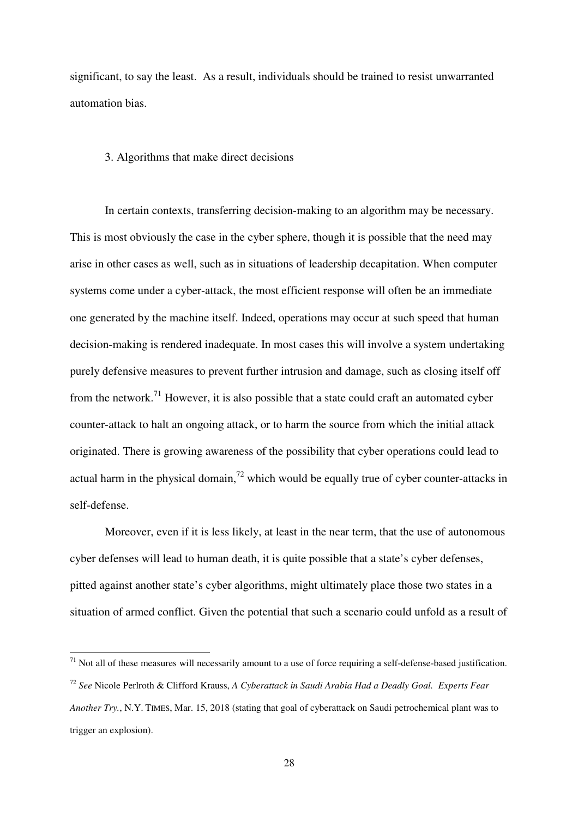significant, to say the least. As a result, individuals should be trained to resist unwarranted automation bias.

## 3. Algorithms that make direct decisions

In certain contexts, transferring decision-making to an algorithm may be necessary. This is most obviously the case in the cyber sphere, though it is possible that the need may arise in other cases as well, such as in situations of leadership decapitation. When computer systems come under a cyber-attack, the most efficient response will often be an immediate one generated by the machine itself. Indeed, operations may occur at such speed that human decision-making is rendered inadequate. In most cases this will involve a system undertaking purely defensive measures to prevent further intrusion and damage, such as closing itself off from the network.<sup>71</sup> However, it is also possible that a state could craft an automated cyber counter-attack to halt an ongoing attack, or to harm the source from which the initial attack originated. There is growing awareness of the possibility that cyber operations could lead to actual harm in the physical domain,<sup>72</sup> which would be equally true of cyber counter-attacks in self-defense.

Moreover, even if it is less likely, at least in the near term, that the use of autonomous cyber defenses will lead to human death, it is quite possible that a state's cyber defenses, pitted against another state's cyber algorithms, might ultimately place those two states in a situation of armed conflict. Given the potential that such a scenario could unfold as a result of

 $71$  Not all of these measures will necessarily amount to a use of force requiring a self-defense-based justification. <sup>72</sup> *See* Nicole Perlroth & Clifford Krauss, *A Cyberattack in Saudi Arabia Had a Deadly Goal. Experts Fear Another Try.*, N.Y. TIMES, Mar. 15, 2018 (stating that goal of cyberattack on Saudi petrochemical plant was to trigger an explosion).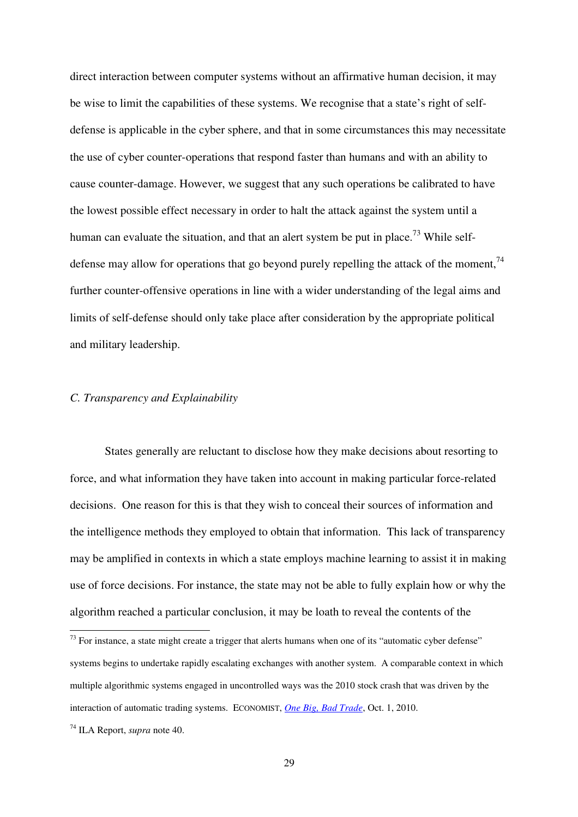direct interaction between computer systems without an affirmative human decision, it may be wise to limit the capabilities of these systems. We recognise that a state's right of selfdefense is applicable in the cyber sphere, and that in some circumstances this may necessitate the use of cyber counter-operations that respond faster than humans and with an ability to cause counter-damage. However, we suggest that any such operations be calibrated to have the lowest possible effect necessary in order to halt the attack against the system until a human can evaluate the situation, and that an alert system be put in place.<sup>73</sup> While selfdefense may allow for operations that go beyond purely repelling the attack of the moment,  $^{74}$ further counter-offensive operations in line with a wider understanding of the legal aims and limits of self-defense should only take place after consideration by the appropriate political and military leadership.

# *C. Transparency and Explainability*

States generally are reluctant to disclose how they make decisions about resorting to force, and what information they have taken into account in making particular force-related decisions. One reason for this is that they wish to conceal their sources of information and the intelligence methods they employed to obtain that information. This lack of transparency may be amplified in contexts in which a state employs machine learning to assist it in making use of force decisions. For instance, the state may not be able to fully explain how or why the algorithm reached a particular conclusion, it may be loath to reveal the contents of the

 $73$  For instance, a state might create a trigger that alerts humans when one of its "automatic cyber defense" systems begins to undertake rapidly escalating exchanges with another system. A comparable context in which multiple algorithmic systems engaged in uncontrolled ways was the 2010 stock crash that was driven by the interaction of automatic trading systems. ECONOMIST, *One Big, Bad Trade*, Oct. 1, 2010.

<sup>74</sup> ILA Report, *supra* note 40.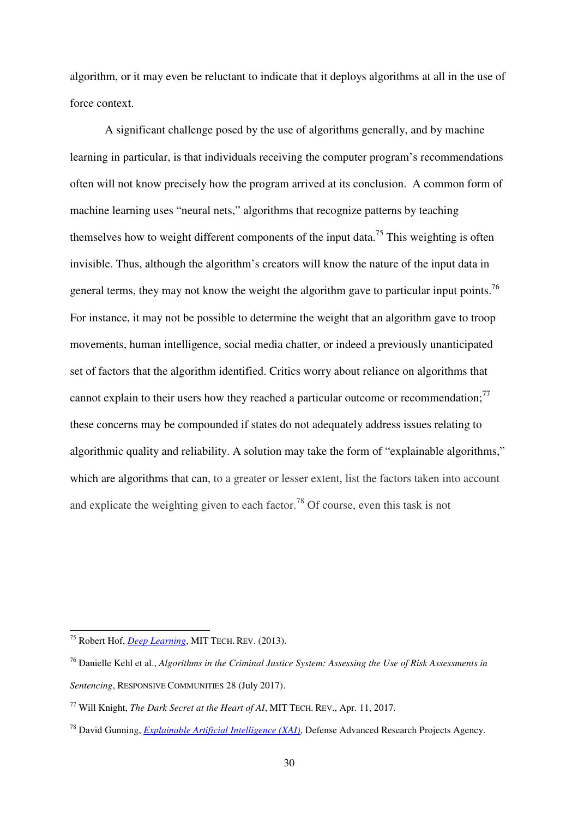algorithm, or it may even be reluctant to indicate that it deploys algorithms at all in the use of force context.

A significant challenge posed by the use of algorithms generally, and by machine learning in particular, is that individuals receiving the computer program's recommendations often will not know precisely how the program arrived at its conclusion. A common form of machine learning uses "neural nets," algorithms that recognize patterns by teaching themselves how to weight different components of the input data.<sup>75</sup> This weighting is often invisible. Thus, although the algorithm's creators will know the nature of the input data in general terms, they may not know the weight the algorithm gave to particular input points.<sup>76</sup> For instance, it may not be possible to determine the weight that an algorithm gave to troop movements, human intelligence, social media chatter, or indeed a previously unanticipated set of factors that the algorithm identified. Critics worry about reliance on algorithms that cannot explain to their users how they reached a particular outcome or recommendation;<sup>77</sup> these concerns may be compounded if states do not adequately address issues relating to algorithmic quality and reliability. A solution may take the form of "explainable algorithms," which are algorithms that can, to a greater or lesser extent, list the factors taken into account and explicate the weighting given to each factor.<sup>78</sup> Of course, even this task is not

<sup>75</sup> Robert Hof, *Deep Learning*, MIT TECH. REV. (2013).

<sup>76</sup> Danielle Kehl et al., *Algorithms in the Criminal Justice System: Assessing the Use of Risk Assessments in Sentencing*, RESPONSIVE COMMUNITIES 28 (July 2017).

<sup>77</sup> Will Knight, *The Dark Secret at the Heart of AI*, MIT TECH. REV., Apr. 11, 2017.

<sup>78</sup> David Gunning, *Explainable Artificial Intelligence (XAI)*, Defense Advanced Research Projects Agency.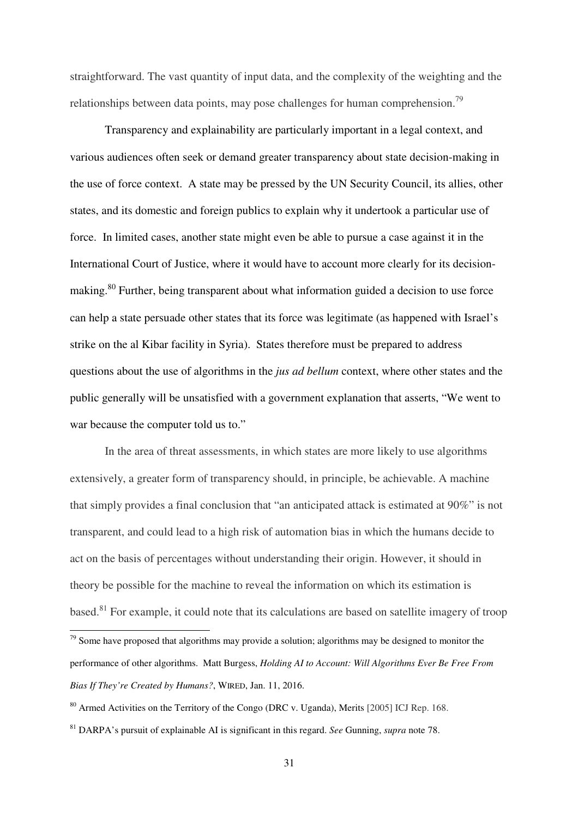straightforward. The vast quantity of input data, and the complexity of the weighting and the relationships between data points, may pose challenges for human comprehension.<sup>79</sup>

Transparency and explainability are particularly important in a legal context, and various audiences often seek or demand greater transparency about state decision-making in the use of force context. A state may be pressed by the UN Security Council, its allies, other states, and its domestic and foreign publics to explain why it undertook a particular use of force. In limited cases, another state might even be able to pursue a case against it in the International Court of Justice, where it would have to account more clearly for its decisionmaking.<sup>80</sup> Further, being transparent about what information guided a decision to use force can help a state persuade other states that its force was legitimate (as happened with Israel's strike on the al Kibar facility in Syria). States therefore must be prepared to address questions about the use of algorithms in the *jus ad bellum* context, where other states and the public generally will be unsatisfied with a government explanation that asserts, "We went to war because the computer told us to."

In the area of threat assessments, in which states are more likely to use algorithms extensively, a greater form of transparency should, in principle, be achievable. A machine that simply provides a final conclusion that "an anticipated attack is estimated at 90%" is not transparent, and could lead to a high risk of automation bias in which the humans decide to act on the basis of percentages without understanding their origin. However, it should in theory be possible for the machine to reveal the information on which its estimation is based.<sup>81</sup> For example, it could note that its calculations are based on satellite imagery of troop

 $79$  Some have proposed that algorithms may provide a solution; algorithms may be designed to monitor the performance of other algorithms. Matt Burgess, *Holding AI to Account: Will Algorithms Ever Be Free From Bias If They're Created by Humans?*, WIRED, Jan. 11, 2016.

<sup>&</sup>lt;sup>80</sup> Armed Activities on the Territory of the Congo (DRC v. Uganda), Merits [2005] ICJ Rep. 168.

<sup>81</sup> DARPA's pursuit of explainable AI is significant in this regard. *See* Gunning, *supra* note 78.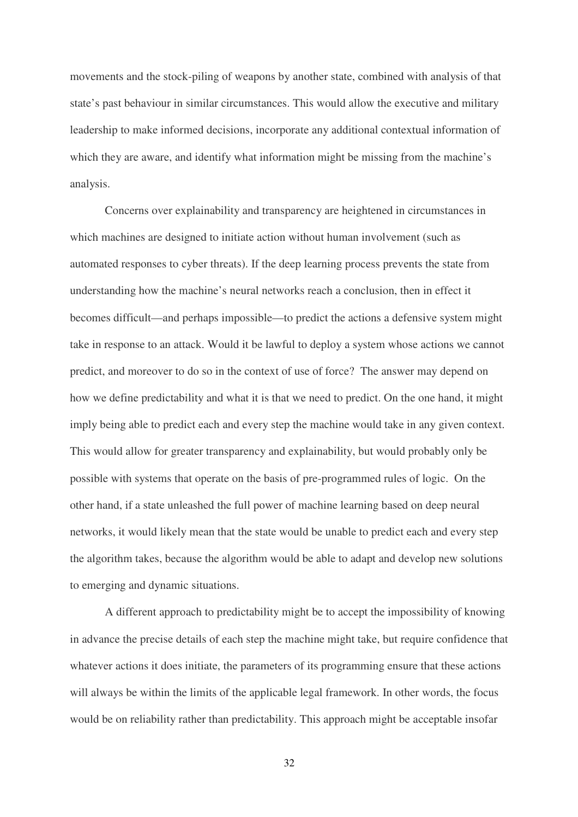movements and the stock-piling of weapons by another state, combined with analysis of that state's past behaviour in similar circumstances. This would allow the executive and military leadership to make informed decisions, incorporate any additional contextual information of which they are aware, and identify what information might be missing from the machine's analysis.

Concerns over explainability and transparency are heightened in circumstances in which machines are designed to initiate action without human involvement (such as automated responses to cyber threats). If the deep learning process prevents the state from understanding how the machine's neural networks reach a conclusion, then in effect it becomes difficult—and perhaps impossible—to predict the actions a defensive system might take in response to an attack. Would it be lawful to deploy a system whose actions we cannot predict, and moreover to do so in the context of use of force? The answer may depend on how we define predictability and what it is that we need to predict. On the one hand, it might imply being able to predict each and every step the machine would take in any given context. This would allow for greater transparency and explainability, but would probably only be possible with systems that operate on the basis of pre-programmed rules of logic. On the other hand, if a state unleashed the full power of machine learning based on deep neural networks, it would likely mean that the state would be unable to predict each and every step the algorithm takes, because the algorithm would be able to adapt and develop new solutions to emerging and dynamic situations.

A different approach to predictability might be to accept the impossibility of knowing in advance the precise details of each step the machine might take, but require confidence that whatever actions it does initiate, the parameters of its programming ensure that these actions will always be within the limits of the applicable legal framework. In other words, the focus would be on reliability rather than predictability. This approach might be acceptable insofar

32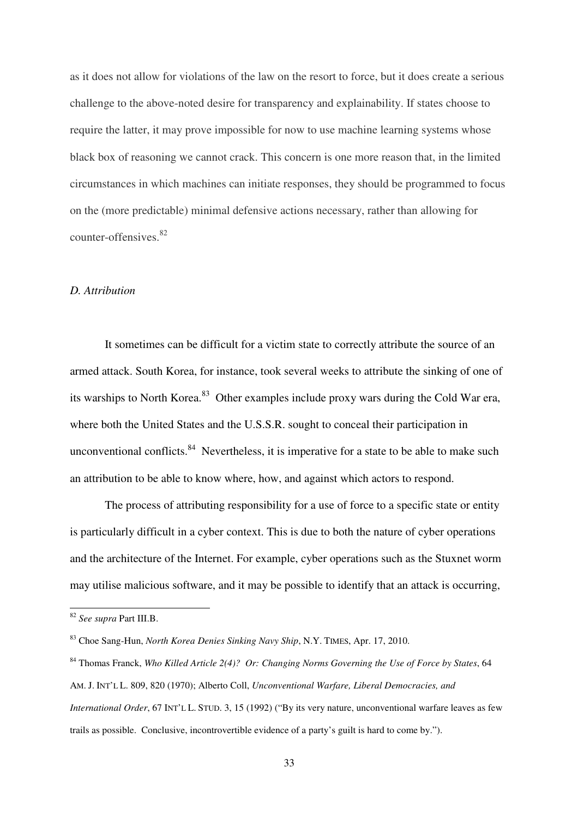as it does not allow for violations of the law on the resort to force, but it does create a serious challenge to the above-noted desire for transparency and explainability. If states choose to require the latter, it may prove impossible for now to use machine learning systems whose black box of reasoning we cannot crack. This concern is one more reason that, in the limited circumstances in which machines can initiate responses, they should be programmed to focus on the (more predictable) minimal defensive actions necessary, rather than allowing for counter-offensives.<sup>82</sup>

## *D. Attribution*

It sometimes can be difficult for a victim state to correctly attribute the source of an armed attack. South Korea, for instance, took several weeks to attribute the sinking of one of its warships to North Korea.<sup>83</sup> Other examples include proxy wars during the Cold War era, where both the United States and the U.S.S.R. sought to conceal their participation in unconventional conflicts.  $84$  Nevertheless, it is imperative for a state to be able to make such an attribution to be able to know where, how, and against which actors to respond.

The process of attributing responsibility for a use of force to a specific state or entity is particularly difficult in a cyber context. This is due to both the nature of cyber operations and the architecture of the Internet. For example, cyber operations such as the Stuxnet worm may utilise malicious software, and it may be possible to identify that an attack is occurring,

<sup>82</sup> *See supra* Part III.B.

<sup>83</sup> Choe Sang-Hun, *North Korea Denies Sinking Navy Ship*, N.Y. TIMES, Apr. 17, 2010.

<sup>84</sup> Thomas Franck, *Who Killed Article 2(4)? Or: Changing Norms Governing the Use of Force by States*, 64 AM. J. INT'L L. 809, 820 (1970); Alberto Coll, *Unconventional Warfare, Liberal Democracies, and International Order*, 67 INT'L L. STUD. 3, 15 (1992) ("By its very nature, unconventional warfare leaves as few trails as possible. Conclusive, incontrovertible evidence of a party's guilt is hard to come by.").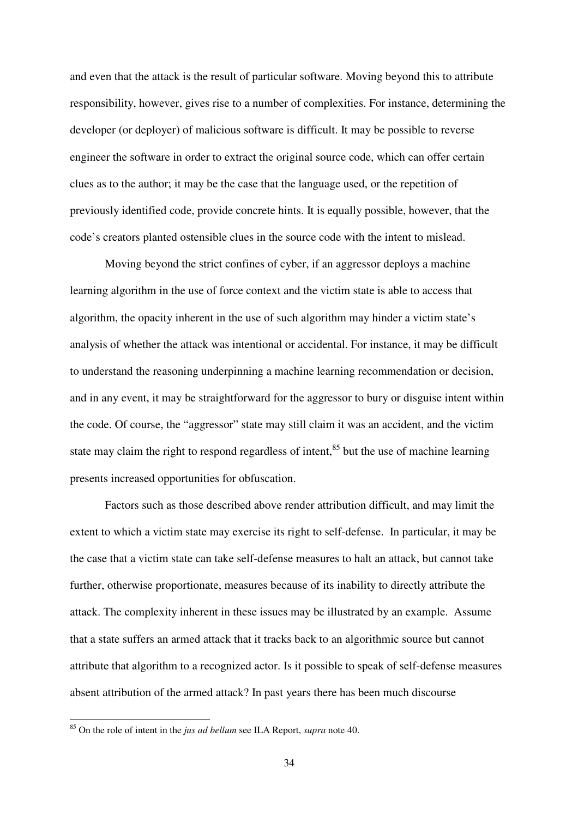and even that the attack is the result of particular software. Moving beyond this to attribute responsibility, however, gives rise to a number of complexities. For instance, determining the developer (or deployer) of malicious software is difficult. It may be possible to reverse engineer the software in order to extract the original source code, which can offer certain clues as to the author; it may be the case that the language used, or the repetition of previously identified code, provide concrete hints. It is equally possible, however, that the code's creators planted ostensible clues in the source code with the intent to mislead.

Moving beyond the strict confines of cyber, if an aggressor deploys a machine learning algorithm in the use of force context and the victim state is able to access that algorithm, the opacity inherent in the use of such algorithm may hinder a victim state's analysis of whether the attack was intentional or accidental. For instance, it may be difficult to understand the reasoning underpinning a machine learning recommendation or decision, and in any event, it may be straightforward for the aggressor to bury or disguise intent within the code. Of course, the "aggressor" state may still claim it was an accident, and the victim state may claim the right to respond regardless of intent,<sup>85</sup> but the use of machine learning presents increased opportunities for obfuscation.

Factors such as those described above render attribution difficult, and may limit the extent to which a victim state may exercise its right to self-defense. In particular, it may be the case that a victim state can take self-defense measures to halt an attack, but cannot take further, otherwise proportionate, measures because of its inability to directly attribute the attack. The complexity inherent in these issues may be illustrated by an example. Assume that a state suffers an armed attack that it tracks back to an algorithmic source but cannot attribute that algorithm to a recognized actor. Is it possible to speak of self-defense measures absent attribution of the armed attack? In past years there has been much discourse

<sup>85</sup> On the role of intent in the *jus ad bellum* see ILA Report, *supra* note 40.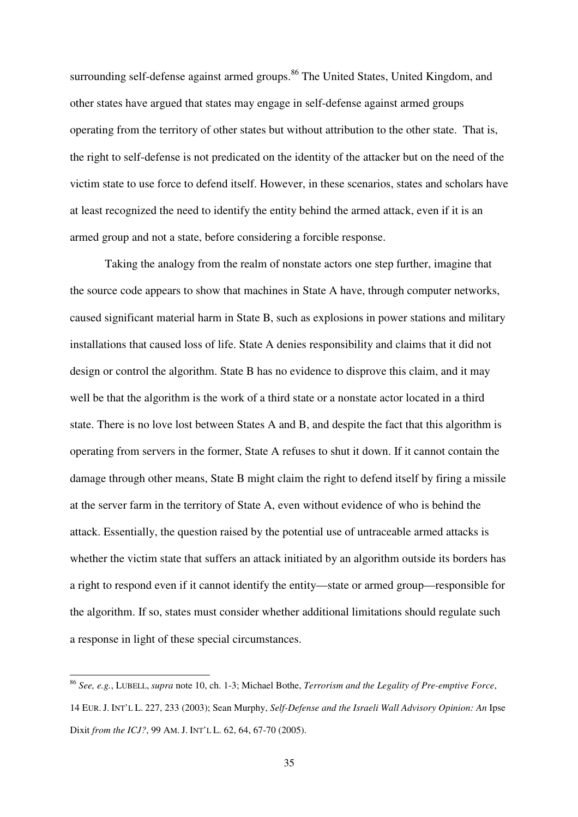surrounding self-defense against armed groups.<sup>86</sup> The United States, United Kingdom, and other states have argued that states may engage in self-defense against armed groups operating from the territory of other states but without attribution to the other state. That is, the right to self-defense is not predicated on the identity of the attacker but on the need of the victim state to use force to defend itself. However, in these scenarios, states and scholars have at least recognized the need to identify the entity behind the armed attack, even if it is an armed group and not a state, before considering a forcible response.

Taking the analogy from the realm of nonstate actors one step further, imagine that the source code appears to show that machines in State A have, through computer networks, caused significant material harm in State B, such as explosions in power stations and military installations that caused loss of life. State A denies responsibility and claims that it did not design or control the algorithm. State B has no evidence to disprove this claim, and it may well be that the algorithm is the work of a third state or a nonstate actor located in a third state. There is no love lost between States A and B, and despite the fact that this algorithm is operating from servers in the former, State A refuses to shut it down. If it cannot contain the damage through other means, State B might claim the right to defend itself by firing a missile at the server farm in the territory of State A, even without evidence of who is behind the attack. Essentially, the question raised by the potential use of untraceable armed attacks is whether the victim state that suffers an attack initiated by an algorithm outside its borders has a right to respond even if it cannot identify the entity—state or armed group—responsible for the algorithm. If so, states must consider whether additional limitations should regulate such a response in light of these special circumstances.

<sup>86</sup> *See, e.g.*, LUBELL, *supra* note 10, ch. 1-3; Michael Bothe, *Terrorism and the Legality of Pre-emptive Force*, 14 EUR. J. INT'L L. 227, 233 (2003); Sean Murphy, *Self-Defense and the Israeli Wall Advisory Opinion: An* Ipse Dixit *from the ICJ?*, 99 AM. J. INT'L L. 62, 64, 67-70 (2005).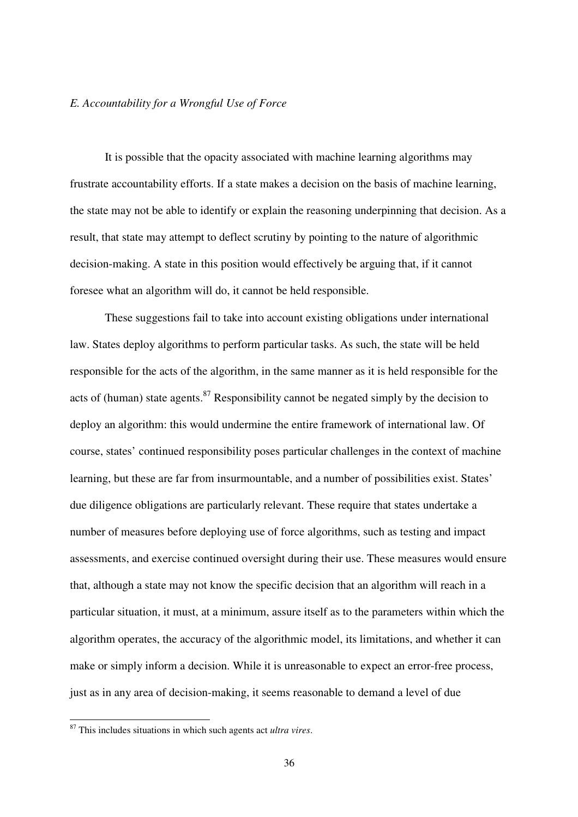# *E. Accountability for a Wrongful Use of Force*

It is possible that the opacity associated with machine learning algorithms may frustrate accountability efforts. If a state makes a decision on the basis of machine learning, the state may not be able to identify or explain the reasoning underpinning that decision. As a result, that state may attempt to deflect scrutiny by pointing to the nature of algorithmic decision-making. A state in this position would effectively be arguing that, if it cannot foresee what an algorithm will do, it cannot be held responsible.

These suggestions fail to take into account existing obligations under international law. States deploy algorithms to perform particular tasks. As such, the state will be held responsible for the acts of the algorithm, in the same manner as it is held responsible for the acts of (human) state agents. $87$  Responsibility cannot be negated simply by the decision to deploy an algorithm: this would undermine the entire framework of international law. Of course, states' continued responsibility poses particular challenges in the context of machine learning, but these are far from insurmountable, and a number of possibilities exist. States' due diligence obligations are particularly relevant. These require that states undertake a number of measures before deploying use of force algorithms, such as testing and impact assessments, and exercise continued oversight during their use. These measures would ensure that, although a state may not know the specific decision that an algorithm will reach in a particular situation, it must, at a minimum, assure itself as to the parameters within which the algorithm operates, the accuracy of the algorithmic model, its limitations, and whether it can make or simply inform a decision. While it is unreasonable to expect an error-free process, just as in any area of decision-making, it seems reasonable to demand a level of due

<sup>87</sup> This includes situations in which such agents act *ultra vires*.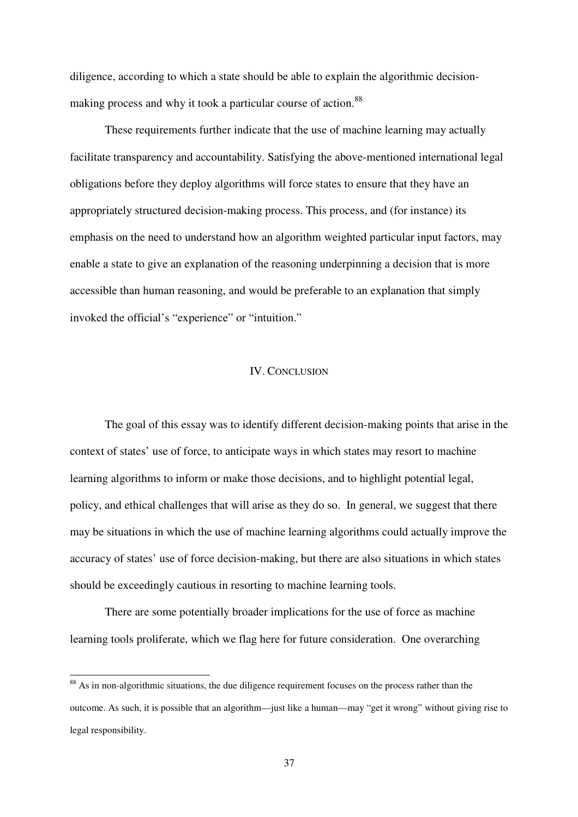diligence, according to which a state should be able to explain the algorithmic decisionmaking process and why it took a particular course of action.<sup>88</sup>

These requirements further indicate that the use of machine learning may actually facilitate transparency and accountability. Satisfying the above-mentioned international legal obligations before they deploy algorithms will force states to ensure that they have an appropriately structured decision-making process. This process, and (for instance) its emphasis on the need to understand how an algorithm weighted particular input factors, may enable a state to give an explanation of the reasoning underpinning a decision that is more accessible than human reasoning, and would be preferable to an explanation that simply invoked the official's "experience" or "intuition."

#### IV. CONCLUSION

The goal of this essay was to identify different decision-making points that arise in the context of states' use of force, to anticipate ways in which states may resort to machine learning algorithms to inform or make those decisions, and to highlight potential legal, policy, and ethical challenges that will arise as they do so. In general, we suggest that there may be situations in which the use of machine learning algorithms could actually improve the accuracy of states' use of force decision-making, but there are also situations in which states should be exceedingly cautious in resorting to machine learning tools.

There are some potentially broader implications for the use of force as machine learning tools proliferate, which we flag here for future consideration. One overarching

<sup>&</sup>lt;sup>88</sup> As in non-algorithmic situations, the due diligence requirement focuses on the process rather than the outcome. As such, it is possible that an algorithm—just like a human—may "get it wrong" without giving rise to legal responsibility.